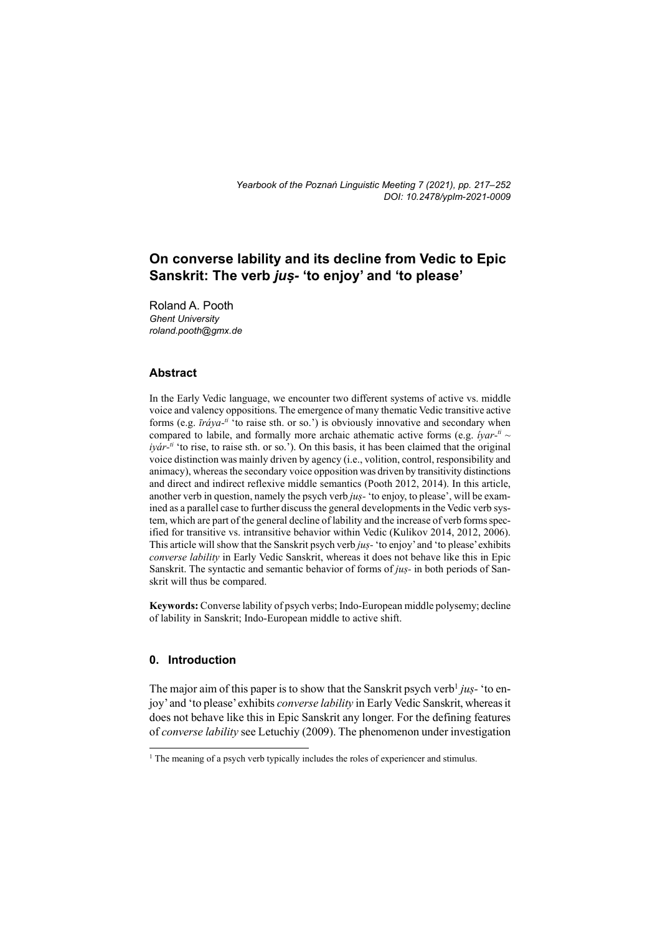# **On converse lability and its decline from Vedic to Epic Sanskrit: The verb** *juṣ-* **'to enjoy' and 'to please'**

Roland A. Pooth *Ghent University roland.pooth@gmx.de* 

## **Abstract**

In the Early Vedic language, we encounter two different systems of active vs. middle voice and valency oppositions. The emergence of many thematic Vedic transitive active forms (e.g. *īráya-ti* 'to raise sth. or so.') is obviously innovative and secondary when compared to labile, and formally more archaic athematic active forms (e.g. *iyar-<sup>ti</sup>*  $\sim$ *iyár-ti* 'to rise, to raise sth. or so.'). On this basis, it has been claimed that the original voice distinction was mainly driven by agency (i.e., volition, control, responsibility and animacy), whereas the secondary voice opposition was driven by transitivity distinctions and direct and indirect reflexive middle semantics (Pooth 2012, 2014). In this article, another verb in question, namely the psych verb *juṣ-* 'to enjoy, to please', will be examined as a parallel case to further discuss the general developments in the Vedic verb system, which are part of the general decline of lability and the increase of verb forms specified for transitive vs. intransitive behavior within Vedic (Kulikov 2014, 2012, 2006). This article will show that the Sanskrit psych verb *juṣ-* 'to enjoy' and 'to please' exhibits *converse lability* in Early Vedic Sanskrit, whereas it does not behave like this in Epic Sanskrit. The syntactic and semantic behavior of forms of *juṣ-* in both periods of Sanskrit will thus be compared.

**Keywords:** Converse lability of psych verbs; Indo-European middle polysemy; decline of lability in Sanskrit; Indo-European middle to active shift.

## **0. Introduction**

The major aim of this paper is to show that the Sanskrit psych verb<sup>1</sup> jus- 'to enjoy' and 'to please' exhibits *converse lability* in Early Vedic Sanskrit, whereas it does not behave like this in Epic Sanskrit any longer. For the defining features of *converse lability* see Letuchiy (2009). The phenomenon under investigation

<sup>&</sup>lt;sup>1</sup> The meaning of a psych verb typically includes the roles of experiencer and stimulus.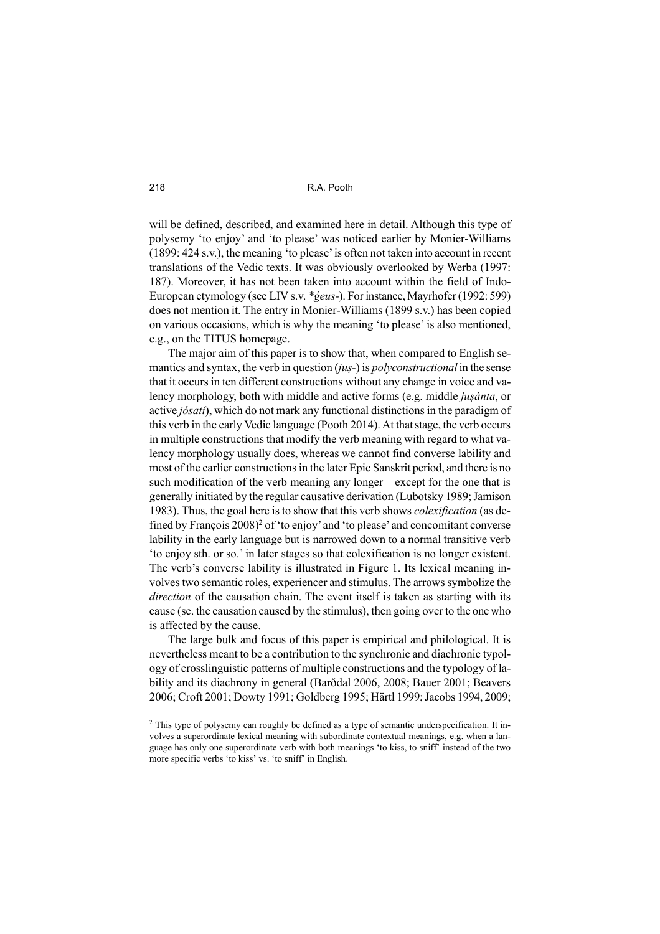will be defined, described, and examined here in detail. Although this type of polysemy 'to enjoy' and 'to please' was noticed earlier by Monier-Williams (1899: 424 s.v.), the meaning 'to please' is often not taken into account in recent translations of the Vedic texts. It was obviously overlooked by Werba (1997: 187). Moreover, it has not been taken into account within the field of Indo-European etymology (see LIV s.v. *\*ǵeus-*). For instance, Mayrhofer (1992: 599) does not mention it. The entry in Monier-Williams (1899 s.v.) has been copied on various occasions, which is why the meaning 'to please' is also mentioned, e.g., on the TITUS homepage.

The major aim of this paper is to show that, when compared to English semantics and syntax, the verb in question (*juṣ-*) is *polyconstructional* in the sense that it occurs in ten different constructions without any change in voice and valency morphology, both with middle and active forms (e.g. middle *juṣánta*, or active *jósati*), which do not mark any functional distinctions in the paradigm of this verb in the early Vedic language (Pooth 2014). At that stage, the verb occurs in multiple constructions that modify the verb meaning with regard to what valency morphology usually does, whereas we cannot find converse lability and most of the earlier constructions in the later Epic Sanskrit period, and there is no such modification of the verb meaning any longer – except for the one that is generally initiated by the regular causative derivation (Lubotsky 1989; Jamison 1983). Thus, the goal here is to show that this verb shows *colexification* (as defined by François 2008)<sup>2</sup> of 'to enjoy' and 'to please' and concomitant converse lability in the early language but is narrowed down to a normal transitive verb 'to enjoy sth. or so.' in later stages so that colexification is no longer existent. The verb's converse lability is illustrated in Figure 1. Its lexical meaning involves two semantic roles, experiencer and stimulus. The arrows symbolize the *direction* of the causation chain. The event itself is taken as starting with its cause (sc. the causation caused by the stimulus), then going over to the one who is affected by the cause.

The large bulk and focus of this paper is empirical and philological. It is nevertheless meant to be a contribution to the synchronic and diachronic typology of crosslinguistic patterns of multiple constructions and the typology of lability and its diachrony in general (Barðdal 2006, 2008; Bauer 2001; Beavers 2006; Croft 2001; Dowty 1991; Goldberg 1995; Härtl 1999; Jacobs 1994, 2009;

<sup>&</sup>lt;sup>2</sup> This type of polysemy can roughly be defined as a type of semantic underspecification. It involves a superordinate lexical meaning with subordinate contextual meanings, e.g. when a language has only one superordinate verb with both meanings 'to kiss, to sniff' instead of the two more specific verbs 'to kiss' vs. 'to sniff' in English.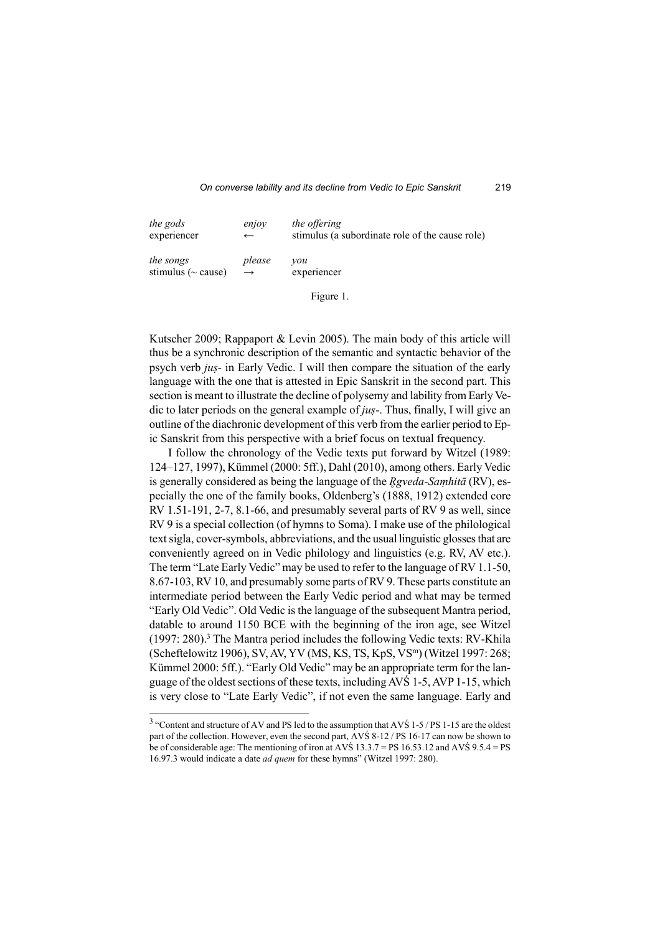| the gods                 | enjov         | the offering                                    |
|--------------------------|---------------|-------------------------------------------------|
| experiencer              | $\leftarrow$  | stimulus (a subordinate role of the cause role) |
| the songs                | please        | vou                                             |
| stimulus ( $\sim$ cause) | $\rightarrow$ | experiencer                                     |

Figure 1.

Kutscher 2009; Rappaport & Levin 2005). The main body of this article will thus be a synchronic description of the semantic and syntactic behavior of the psych verb *juṣ-* in Early Vedic. I will then compare the situation of the early language with the one that is attested in Epic Sanskrit in the second part. This section is meant to illustrate the decline of polysemy and lability from Early Vedic to later periods on the general example of *juṣ-*. Thus, finally, I will give an outline of the diachronic development of this verb from the earlier period to Epic Sanskrit from this perspective with a brief focus on textual frequency.

I follow the chronology of the Vedic texts put forward by Witzel (1989: 124–127, 1997), Kümmel (2000: 5ff.), Dahl (2010), among others. Early Vedic is generally considered as being the language of the *Rgveda-Samhitā* (RV), especially the one of the family books, Oldenberg's (1888, 1912) extended core RV 1.51-191, 2-7, 8.1-66, and presumably several parts of RV 9 as well, since RV 9 is a special collection (of hymns to Soma). I make use of the philological text sigla, cover-symbols, abbreviations, and the usual linguistic glosses that are conveniently agreed on in Vedic philology and linguistics (e.g. RV, AV etc.). The term "Late Early Vedic" may be used to refer to the language of RV 1.1-50, 8.67-103, RV 10, and presumably some parts of RV 9. These parts constitute an intermediate period between the Early Vedic period and what may be termed "Early Old Vedic". Old Vedic is the language of the subsequent Mantra period, datable to around 1150 BCE with the beginning of the iron age, see Witzel  $(1997: 280).$ <sup>3</sup> The Mantra period includes the following Vedic texts: RV-Khila (Scheftelowitz 1906), SV, AV, YV (MS, KS, TS, KpS, VS<sup>m</sup>) (Witzel 1997: 268; Kümmel 2000: 5ff.). "Early Old Vedic" may be an appropriate term for the language of the oldest sections of these texts, including AVŚ 1-5, AVP 1-15, which is very close to "Late Early Vedic", if not even the same language. Early and

 $3$  "Content and structure of AV and PS led to the assumption that AVS 1-5 / PS 1-15 are the oldest part of the collection. However, even the second part, AVŚ 8-12 / PS 16-17 can now be shown to be of considerable age: The mentioning of iron at AVŚ 13.3.7 = PS 16.53.12 and AVŚ 9.5.4 = PS 16.97.3 would indicate a date *ad quem* for these hymns" (Witzel 1997: 280).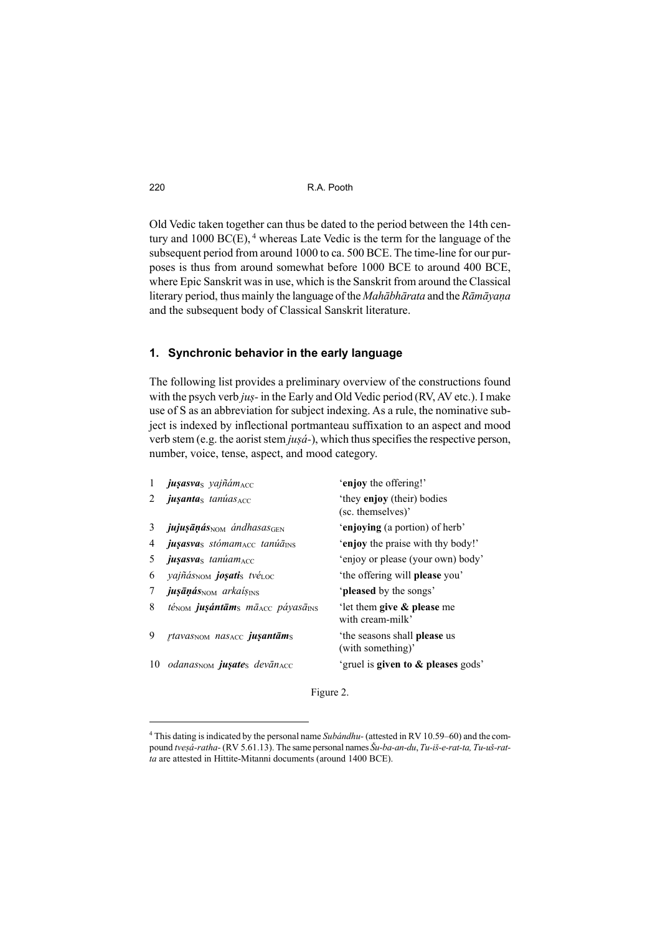Old Vedic taken together can thus be dated to the period between the 14th century and  $1000 \text{ BC}(E)$ , <sup>4</sup> whereas Late Vedic is the term for the language of the subsequent period from around 1000 to ca. 500 BCE. The time-line for our purposes is thus from around somewhat before 1000 BCE to around 400 BCE, where Epic Sanskrit was in use, which is the Sanskrit from around the Classical literary period, thus mainly the language of the *Mahābhārata* and the *Rāmāyaṇa* and the subsequent body of Classical Sanskrit literature.

#### **1. Synchronic behavior in the early language**

The following list provides a preliminary overview of the constructions found with the psych verb *juṣ-* in the Early and Old Vedic period (RV, AV etc.). I make use of S as an abbreviation for subject indexing. As a rule, the nominative subject is indexed by inflectional portmanteau suffixation to an aspect and mood verb stem (e.g. the aorist stem *juṣá-*), which thus specifies the respective person, number, voice, tense, aspect, and mood category.

| 1  | jusasvas yajñám <sub>ACC</sub>                                                          | 'enjoy the offering!'                             |
|----|-----------------------------------------------------------------------------------------|---------------------------------------------------|
| 2  | <i>jusantas tanúas</i> ACC                                                              | 'they enjoy (their) bodies<br>(sc. themselves)'   |
| 3  | $j$ ujuşāņás $_{\text{NOM}}$ ándhasas $_{\text{GEN}}$                                   | 'enjoying (a portion) of herb'                    |
| 4  | jusasvas stómamAcc tanúaINS                                                             | 'enjoy the praise with thy body!'                 |
| 5  | <b><i>jusasva</i></b> s tanúam <sub>ACC</sub>                                           | 'enjoy or please (your own) body'                 |
| 6  | <i>vajñás</i> <sub>NOM</sub> <b>josati</b> s tvé <sub>LOC</sub>                         | 'the offering will <b>please</b> you'             |
| 7  | <b><i>jusāņás</i></b> no arkais <sub>INS</sub>                                          | 'pleased by the songs'                            |
| 8  | $t\acute{e}_{\text{NOM}}$ jusántām <sub>s</sub> mā <sub>ACC</sub> páyasā <sub>INS</sub> | 'let them give $\&$ please me<br>with cream-milk' |
| 9  | rtavas <sub>NOM</sub> nas <sub>ACC</sub> ju <b>santām</b> s                             | 'the seasons shall please us<br>(with something)' |
| 10 | <i>odanas</i> <sub>NOM</sub> <b>juşate</b> s devān <sub>ACC</sub>                       | 'gruel is <b>given to &amp; pleases</b> gods'     |

Figure 2.

<sup>4</sup> This dating is indicated by the personal name *Subándhu-* (attested in RV 10.59–60) and the compound *tveṣá-ratha-* (RV 5.61.13). The same personal names *Šu-ba-an-du*, *Tu-iš-e-rat-ta, Tu-uš-ratta* are attested in Hittite-Mitanni documents (around 1400 BCE).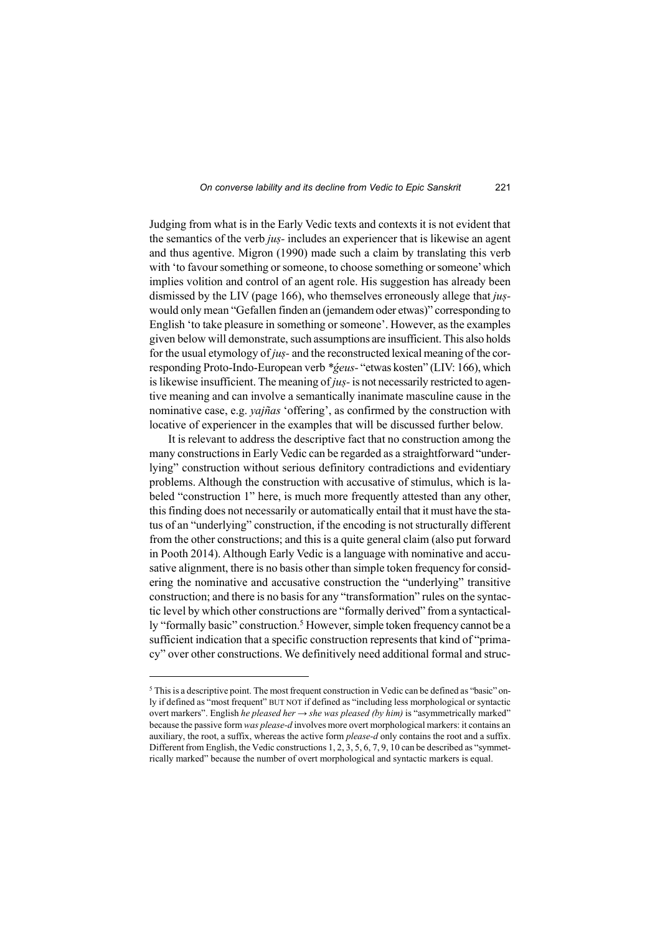Judging from what is in the Early Vedic texts and contexts it is not evident that the semantics of the verb *juṣ-* includes an experiencer that is likewise an agent and thus agentive. Migron (1990) made such a claim by translating this verb with 'to favour something or someone, to choose something or someone' which implies volition and control of an agent role. His suggestion has already been dismissed by the LIV (page 166), who themselves erroneously allege that *juṣ*would only mean "Gefallen finden an (jemandem oder etwas)" corresponding to English 'to take pleasure in something or someone'. However, as the examples given below will demonstrate, such assumptions are insufficient. This also holds for the usual etymology of *juṣ-* and the reconstructed lexical meaning of the corresponding Proto-Indo-European verb *\*ǵeus-* "etwas kosten" (LIV: 166), which is likewise insufficient. The meaning of *juṣ-* is not necessarily restricted to agentive meaning and can involve a semantically inanimate masculine cause in the nominative case, e.g. *yajñas* 'offering', as confirmed by the construction with locative of experiencer in the examples that will be discussed further below.

It is relevant to address the descriptive fact that no construction among the many constructions in Early Vedic can be regarded as a straightforward "underlying" construction without serious definitory contradictions and evidentiary problems. Although the construction with accusative of stimulus, which is labeled "construction 1" here, is much more frequently attested than any other, this finding does not necessarily or automatically entail that it must have the status of an "underlying" construction, if the encoding is not structurally different from the other constructions; and this is a quite general claim (also put forward in Pooth 2014). Although Early Vedic is a language with nominative and accusative alignment, there is no basis other than simple token frequency for considering the nominative and accusative construction the "underlying" transitive construction; and there is no basis for any "transformation" rules on the syntactic level by which other constructions are "formally derived" from a syntactically "formally basic" construction.<sup>5</sup> However, simple token frequency cannot be a sufficient indication that a specific construction represents that kind of "primacy" over other constructions. We definitively need additional formal and struc-

<sup>&</sup>lt;sup>5</sup> This is a descriptive point. The most frequent construction in Vedic can be defined as "basic" only if defined as "most frequent" BUT NOT if defined as "including less morphological or syntactic overt markers". English *he pleased her* → *she was pleased (by him)* is "asymmetrically marked" because the passive form *was please-d* involves more overt morphological markers: it contains an auxiliary, the root, a suffix, whereas the active form *please-d* only contains the root and a suffix. Different from English, the Vedic constructions 1, 2, 3, 5, 6, 7, 9, 10 can be described as "symmetrically marked" because the number of overt morphological and syntactic markers is equal.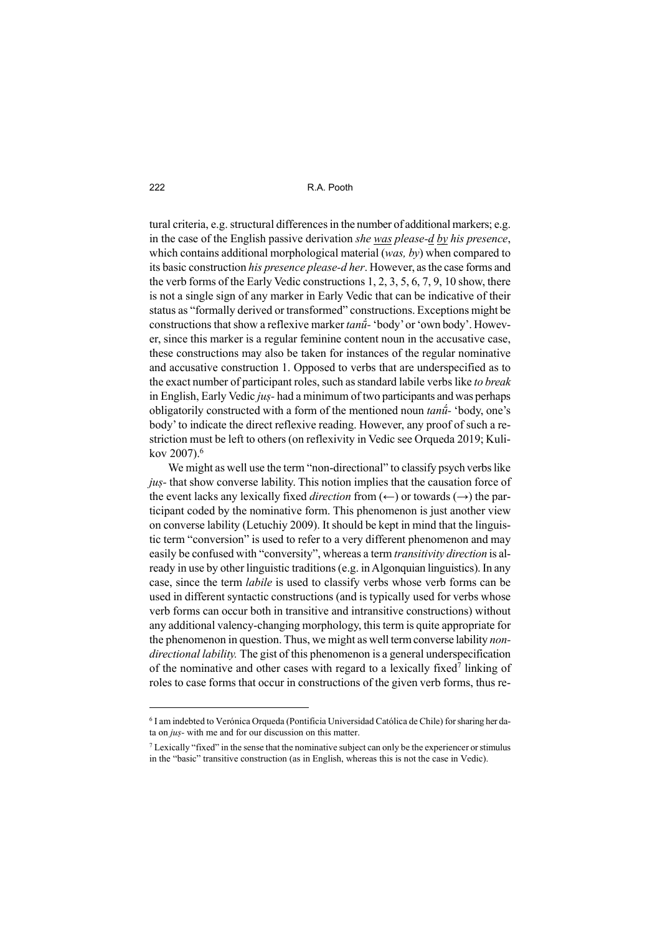tural criteria, e.g. structural differences in the number of additional markers; e.g. in the case of the English passive derivation *she was please-d by his presence*, which contains additional morphological material (*was, by*) when compared to its basic construction *his presence please-d her*. However, as the case forms and the verb forms of the Early Vedic constructions 1, 2, 3, 5, 6, 7, 9, 10 show, there is not a single sign of any marker in Early Vedic that can be indicative of their status as "formally derived or transformed" constructions. Exceptions might be constructions that show a reflexive marker *tanū́-* 'body' or 'own body'. However, since this marker is a regular feminine content noun in the accusative case, these constructions may also be taken for instances of the regular nominative and accusative construction 1. Opposed to verbs that are underspecified as to the exact number of participant roles, such as standard labile verbs like *to break* in English, Early Vedic *juṣ-* had a minimum of two participants and was perhaps obligatorily constructed with a form of the mentioned noun *tanū́-* 'body, one's body' to indicate the direct reflexive reading. However, any proof of such a restriction must be left to others (on reflexivity in Vedic see Orqueda 2019; Kulikov 2007).<sup>6</sup>

We might as well use the term "non-directional" to classify psych verbs like *juṣ-* that show converse lability. This notion implies that the causation force of the event lacks any lexically fixed *direction* from  $(\leftarrow)$  or towards  $(\rightarrow)$  the participant coded by the nominative form. This phenomenon is just another view on converse lability (Letuchiy 2009). It should be kept in mind that the linguistic term "conversion" is used to refer to a very different phenomenon and may easily be confused with "conversity", whereas a term *transitivity direction* is already in use by other linguistic traditions (e.g. in Algonquian linguistics). In any case, since the term *labile* is used to classify verbs whose verb forms can be used in different syntactic constructions (and is typically used for verbs whose verb forms can occur both in transitive and intransitive constructions) without any additional valency-changing morphology, this term is quite appropriate for the phenomenon in question. Thus, we might as well term converse lability *nondirectional lability.* The gist of this phenomenon is a general underspecification of the nominative and other cases with regard to a lexically fixed<sup>7</sup> linking of roles to case forms that occur in constructions of the given verb forms, thus re-

<sup>6</sup> I am indebted to Verónica Orqueda (Pontificia Universidad Católica de Chile) for sharing her data on *juṣ-* with me and for our discussion on this matter.

 $<sup>7</sup>$  Lexically "fixed" in the sense that the nominative subject can only be the experiencer or stimulus</sup> in the "basic" transitive construction (as in English, whereas this is not the case in Vedic).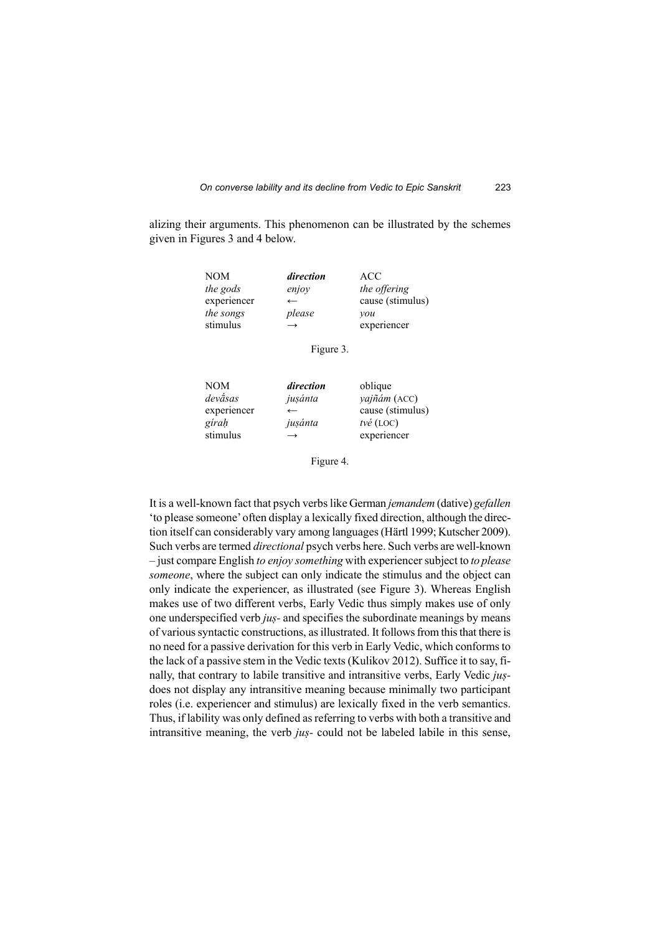alizing their arguments. This phenomenon can be illustrated by the schemes given in Figures 3 and 4 below.

| <b>NOM</b>  | direction     | ACC              |
|-------------|---------------|------------------|
| the gods    | enjoy         | the offering     |
| experiencer | $\leftarrow$  | cause (stimulus) |
| the songs   | please        | vou              |
| stimulus    | $\rightarrow$ | experiencer      |

Figure 3.

| <b>NOM</b>  | direction                | oblique               |
|-------------|--------------------------|-----------------------|
| devásas     | jusánta                  | yajñám (ACC)          |
| experiencer | $\overline{\phantom{m}}$ | cause (stimulus)      |
| gírah       | jusánta                  | $t\nu\acute{e}$ (LOC) |
| stimulus    | $\rightarrow$            | experiencer           |

Figure 4.

It is a well-known fact that psych verbs like German *jemandem* (dative) *gefallen* 'to please someone'often display a lexically fixed direction, although the direction itself can considerably vary among languages (Härtl 1999; Kutscher 2009). Such verbs are termed *directional* psych verbs here. Such verbs are well-known – just compare English *to enjoy something* with experiencer subject to *to please someone*, where the subject can only indicate the stimulus and the object can only indicate the experiencer, as illustrated (see Figure 3). Whereas English makes use of two different verbs, Early Vedic thus simply makes use of only one underspecified verb *juṣ-* and specifies the subordinate meanings by means of various syntactic constructions, as illustrated. It follows from this that there is no need for a passive derivation for this verb in Early Vedic, which conforms to the lack of a passive stem in the Vedic texts (Kulikov 2012). Suffice it to say, finally, that contrary to labile transitive and intransitive verbs, Early Vedic *juṣ*does not display any intransitive meaning because minimally two participant roles (i.e. experiencer and stimulus) are lexically fixed in the verb semantics. Thus, if lability was only defined as referring to verbs with both a transitive and intransitive meaning, the verb *juṣ-* could not be labeled labile in this sense,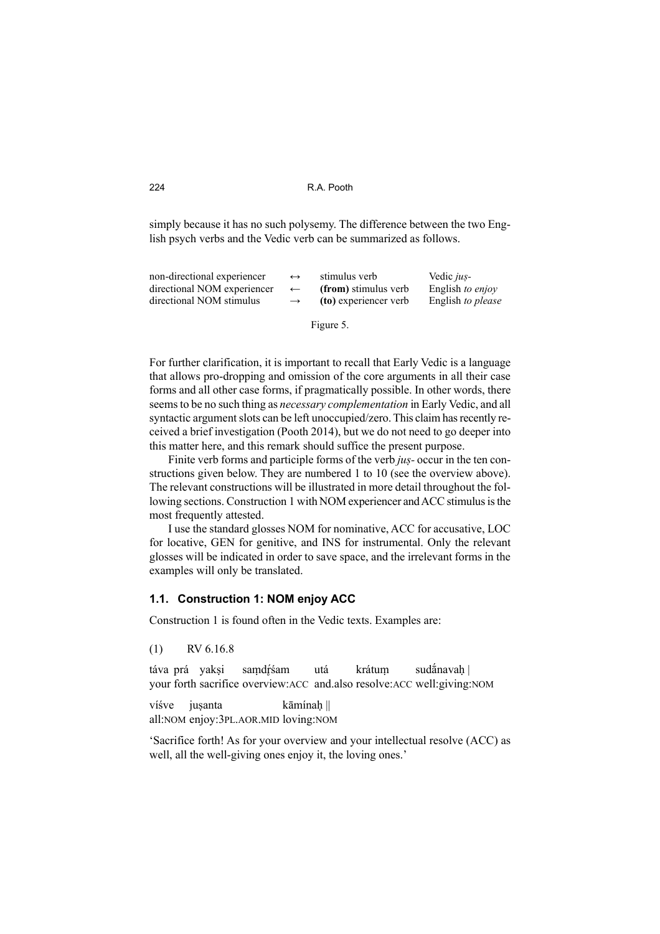simply because it has no such polysemy. The difference between the two English psych verbs and the Vedic verb can be summarized as follows.

| non-directional experiencer | $\leftrightarrow$ | stimulus verb         | Vedic <i>jus</i> - |
|-----------------------------|-------------------|-----------------------|--------------------|
| directional NOM experiencer | $\leftarrow$      | (from) stimulus verb  | English to enjoy   |
| directional NOM stimulus    | $\rightarrow$     | (to) experiencer verb | English to please  |
|                             |                   | Figure 5.             |                    |

For further clarification, it is important to recall that Early Vedic is a language that allows pro-dropping and omission of the core arguments in all their case forms and all other case forms, if pragmatically possible. In other words, there seems to be no such thing as *necessary complementation* in Early Vedic, and all syntactic argument slots can be left unoccupied/zero. This claim has recently received a brief investigation (Pooth 2014), but we do not need to go deeper into this matter here, and this remark should suffice the present purpose.

Finite verb forms and participle forms of the verb *juṣ-* occur in the ten constructions given below. They are numbered 1 to 10 (see the overview above). The relevant constructions will be illustrated in more detail throughout the following sections. Construction 1 with NOM experiencer and ACC stimulus is the most frequently attested.

I use the standard glosses NOM for nominative, ACC for accusative, LOC for locative, GEN for genitive, and INS for instrumental. Only the relevant glosses will be indicated in order to save space, and the irrelevant forms in the examples will only be translated.

### **1.1. Construction 1: NOM enjoy ACC**

Construction 1 is found often in the Vedic texts. Examples are:

```
(1) RV 6.16.8
```
táva prá yakṣi samdr̥śam utá krátuṃ sudā́navaḥ | your forth sacrifice overview:ACC and.also resolve:ACC well:giving:NOM

víśve juṣanta kāmínaḥ || all:NOM enjoy:3PL.AOR.MID loving:NOM

'Sacrifice forth! As for your overview and your intellectual resolve (ACC) as well, all the well-giving ones enjoy it, the loving ones.'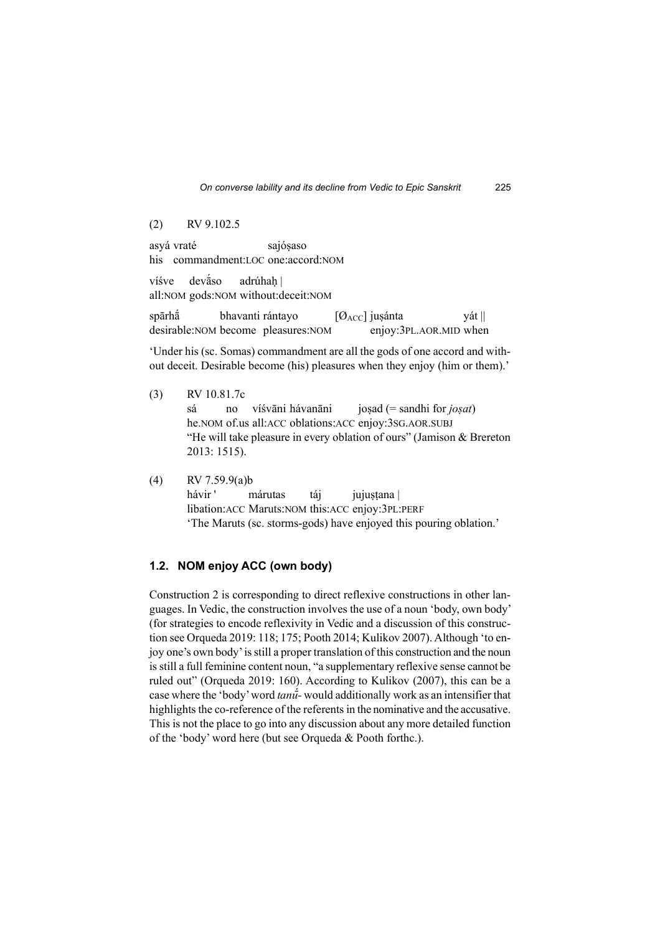(2) RV 9.102.5

asyá vraté sajósaso his commandment:LOC one:accord:NOM

víśve devā́so adrúhah | all:NOM gods:NOM without:deceit:NOM

spārhā́ bhavanti rántayo  $[Ø<sub>ACC</sub>]$  jusánta yát || desirable:NOM become pleasures:NOM enjoy:3PL.AOR.MID when

'Under his (sc. Somas) commandment are all the gods of one accord and without deceit. Desirable become (his) pleasures when they enjoy (him or them).'

- (3) RV 10.81.7c sá no víśvāni hávanāni joṣad (= sandhi for *joṣat*) he.NOM of.us all:ACC oblations:ACC enjoy:3SG.AOR.SUBJ "He will take pleasure in every oblation of ours" (Jamison & Brereton 2013: 1515).
- (4) RV 7.59.9(a)b

hávir ' márutas táj jujustana libation:ACC Maruts:NOM this:ACC enjoy:3PL:PERF 'The Maruts (sc. storms-gods) have enjoyed this pouring oblation.'

### **1.2. NOM enjoy ACC (own body)**

Construction 2 is corresponding to direct reflexive constructions in other languages. In Vedic, the construction involves the use of a noun 'body, own body' (for strategies to encode reflexivity in Vedic and a discussion of this construction see Orqueda 2019: 118; 175; Pooth 2014; Kulikov 2007). Although 'to enjoy one's own body' is still a proper translation of this construction and the noun is still a full feminine content noun, "a supplementary reflexive sense cannot be ruled out" (Orqueda 2019: 160). According to Kulikov (2007), this can be a case where the 'body' word *tanū́-* would additionally work as an intensifier that highlights the co-reference of the referents in the nominative and the accusative. This is not the place to go into any discussion about any more detailed function of the 'body' word here (but see Orqueda & Pooth forthc.).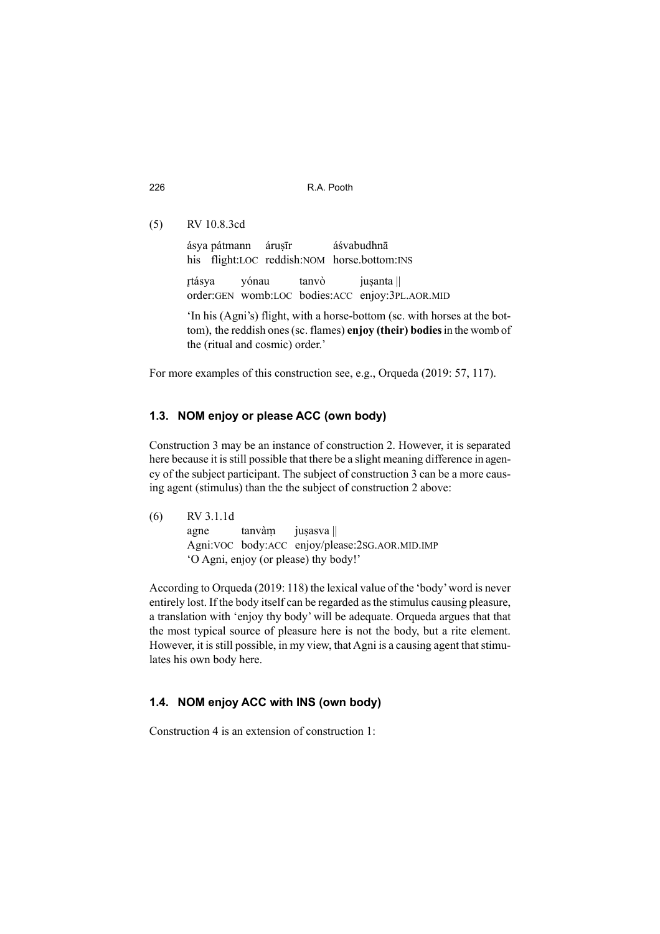(5) RV 10.8.3cd

ásya pátmann árusīr áśvabudhnā his flight:LOC reddish:NOM horse.bottom:INS rtásya yónau tanvò jusanta || order:GEN womb:LOC bodies:ACC enjoy:3PL.AOR.MID 'In his (Agni's) flight, with a horse-bottom (sc. with horses at the bottom), the reddish ones (sc. flames) **enjoy (their) bodies** in the womb of the (ritual and cosmic) order.'

For more examples of this construction see, e.g., Orqueda (2019: 57, 117).

### **1.3. NOM enjoy or please ACC (own body)**

Construction 3 may be an instance of construction 2. However, it is separated here because it is still possible that there be a slight meaning difference in agency of the subject participant. The subject of construction 3 can be a more causing agent (stimulus) than the the subject of construction 2 above:

(6) RV 3.1.1d agne tanvàm jusasva || Agni:VOC body:ACC enjoy/please:2SG.AOR.MID.IMP 'O Agni, enjoy (or please) thy body!'

According to Orqueda (2019: 118) the lexical value of the 'body' word is never entirely lost. If the body itself can be regarded as the stimulus causing pleasure, a translation with 'enjoy thy body' will be adequate. Orqueda argues that that the most typical source of pleasure here is not the body, but a rite element. However, it is still possible, in my view, that Agni is a causing agent that stimulates his own body here.

### **1.4. NOM enjoy ACC with INS (own body)**

Construction 4 is an extension of construction 1: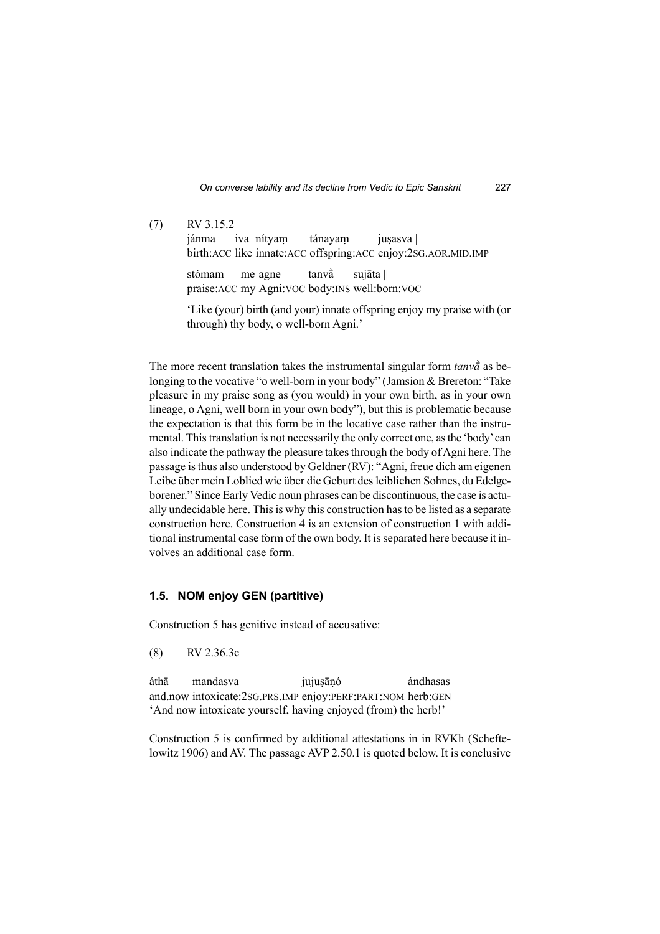(7) RV 3.15.2 jánma iva nítyam tánayam jusasva birth:ACC like innate:ACC offspring:ACC enjoy:2SG.AOR.MID.IMP stómam me agne tanvā̀ sujāta || praise:ACC my Agni:VOC body:INS well:born:VOC 'Like (your) birth (and your) innate offspring enjoy my praise with (or through) thy body, o well-born Agni.'

The more recent translation takes the instrumental singular form *tanvā̀* as belonging to the vocative "o well-born in your body" (Jamsion & Brereton: "Take pleasure in my praise song as (you would) in your own birth, as in your own lineage, o Agni, well born in your own body"), but this is problematic because the expectation is that this form be in the locative case rather than the instrumental. This translation is not necessarily the only correct one, as the 'body' can also indicate the pathway the pleasure takes through the body of Agni here. The passage is thus also understood by Geldner (RV): "Agni, freue dich am eigenen Leibe über mein Loblied wie über die Geburt des leiblichen Sohnes, du Edelgeborener." Since Early Vedic noun phrases can be discontinuous, the case is actually undecidable here. This is why this construction has to be listed as a separate construction here. Construction 4 is an extension of construction 1 with additional instrumental case form of the own body. It is separated here because it involves an additional case form.

### **1.5. NOM enjoy GEN (partitive)**

Construction 5 has genitive instead of accusative:

(8) RV 2.36.3c

áthā mandasva jujusānó ándhasas and.now intoxicate:2SG.PRS.IMP enjoy:PERF:PART:NOM herb:GEN 'And now intoxicate yourself, having enjoyed (from) the herb!'

Construction 5 is confirmed by additional attestations in in RVKh (Scheftelowitz 1906) and AV. The passage AVP 2.50.1 is quoted below. It is conclusive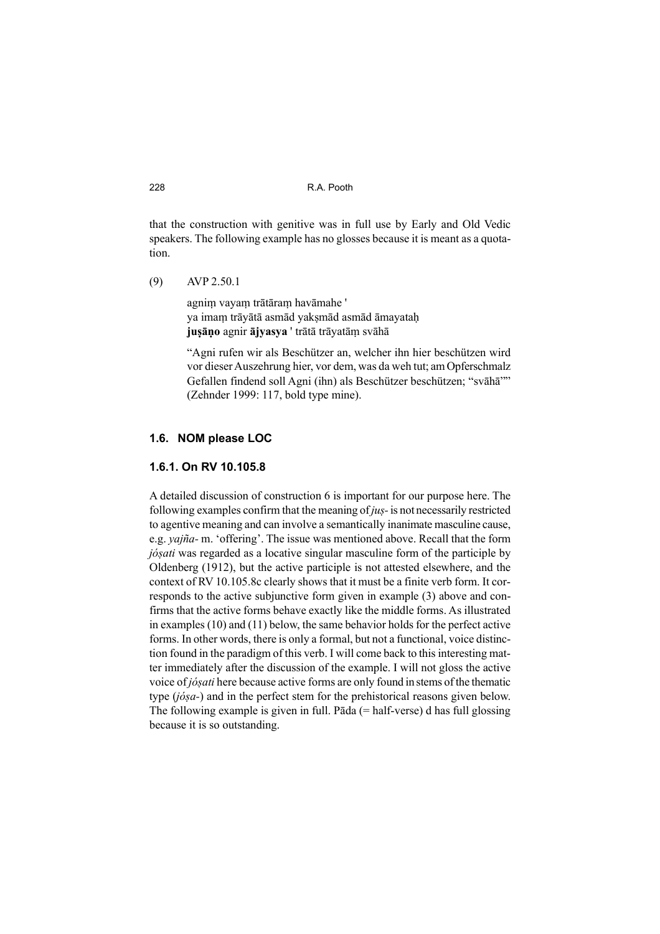that the construction with genitive was in full use by Early and Old Vedic speakers. The following example has no glosses because it is meant as a quotation.

(9) AVP 2.50.1

agniṃ vayaṃ trātāraṃ havāmahe ' ya imaṃ trāyātā asmād yakṣmād asmād āmayataḥ **juṣāṇo** agnir **ājyasya** ' trātā trāyatāṃ svāhā

"Agni rufen wir als Beschützer an, welcher ihn hier beschützen wird vor dieser Auszehrung hier, vor dem, was da weh tut; am Opferschmalz Gefallen findend soll Agni (ihn) als Beschützer beschützen; "svāhā"" (Zehnder 1999: 117, bold type mine).

### **1.6. NOM please LOC**

#### **1.6.1. On RV 10.105.8**

A detailed discussion of construction 6 is important for our purpose here. The following examples confirm that the meaning of *juṣ-* is not necessarily restricted to agentive meaning and can involve a semantically inanimate masculine cause, e.g. *yajña-* m. 'offering'. The issue was mentioned above. Recall that the form *jóṣati* was regarded as a locative singular masculine form of the participle by Oldenberg (1912), but the active participle is not attested elsewhere, and the context of RV 10.105.8c clearly shows that it must be a finite verb form. It corresponds to the active subjunctive form given in example (3) above and confirms that the active forms behave exactly like the middle forms. As illustrated in examples (10) and (11) below, the same behavior holds for the perfect active forms. In other words, there is only a formal, but not a functional, voice distinction found in the paradigm of this verb. I will come back to this interesting matter immediately after the discussion of the example. I will not gloss the active voice of *jóṣati* here because active forms are only found in stems of the thematic type (*jóṣa-*) and in the perfect stem for the prehistorical reasons given below. The following example is given in full. Pāda  $(= half\text{-}verse)$  d has full glossing because it is so outstanding.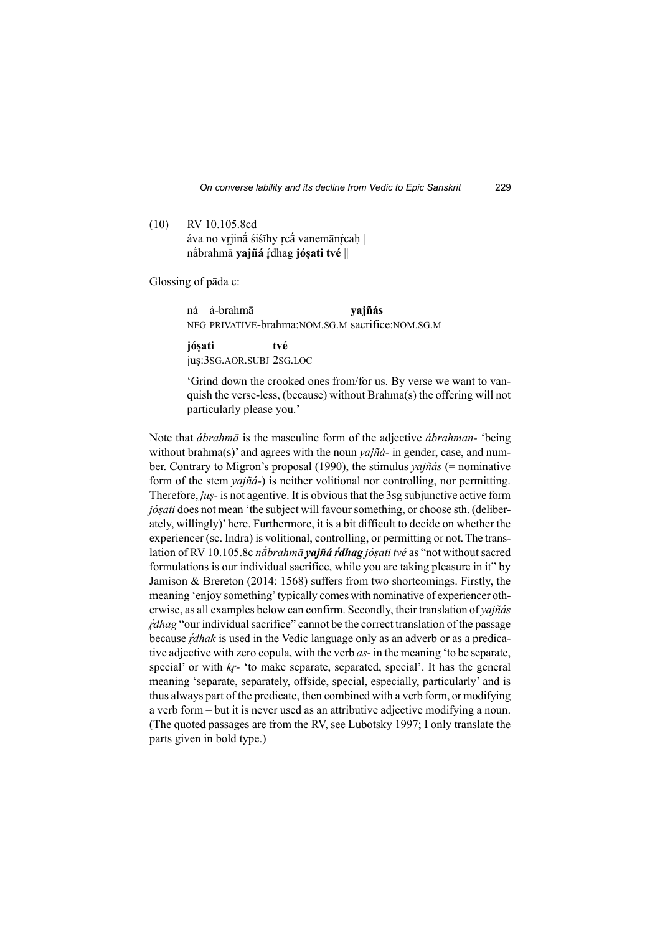(10) RV 10.105.8cd áva no vrjinā́ śiśīhy rçā vanemānrcah | nā́brahmā **yajñá** r̥dhag ́ **jóṣati tvé** ||

Glossing of pāda c:

 ná á-brahmā **yajñás**  NEG PRIVATIVE-brahma:NOM.SG.M sacrifice:NOM.SG.M

**jóṣati tvé** juṣ:3SG.AOR.SUBJ 2SG.LOC

'Grind down the crooked ones from/for us. By verse we want to vanquish the verse-less, (because) without Brahma(s) the offering will not particularly please you.'

Note that *ábrahmā* is the masculine form of the adjective *ábrahman-* 'being without brahma(s)' and agrees with the noun *yajñá-* in gender, case, and number. Contrary to Migron's proposal (1990), the stimulus *yajñás* (= nominative form of the stem *yajñá-*) is neither volitional nor controlling, nor permitting. Therefore, *juṣ-* is not agentive. It is obvious that the 3sg subjunctive active form *jósati* does not mean 'the subject will favour something, or choose sth. (deliberately, willingly)' here. Furthermore, it is a bit difficult to decide on whether the experiencer (sc. Indra) is volitional, controlling, or permitting or not. The translation of RV 10.105.8c *nā́brahmā yajñá ŕ̥dhag jóṣati tvé* as "not without sacred formulations is our individual sacrifice, while you are taking pleasure in it" by Jamison & Brereton (2014: 1568) suffers from two shortcomings. Firstly, the meaning 'enjoy something' typically comes with nominative of experiencer otherwise, as all examples below can confirm. Secondly, their translation of *yajñás ŕ̥dhag* "our individual sacrifice" cannot be the correct translation of the passage because *ŕdhak* is used in the Vedic language only as an adverb or as a predicative adjective with zero copula, with the verb *as-* in the meaning 'to be separate, special' or with *kr*-'to make separate, separated, special'. It has the general meaning 'separate, separately, offside, special, especially, particularly' and is thus always part of the predicate, then combined with a verb form, or modifying a verb form – but it is never used as an attributive adjective modifying a noun. (The quoted passages are from the RV, see Lubotsky 1997; I only translate the parts given in bold type.)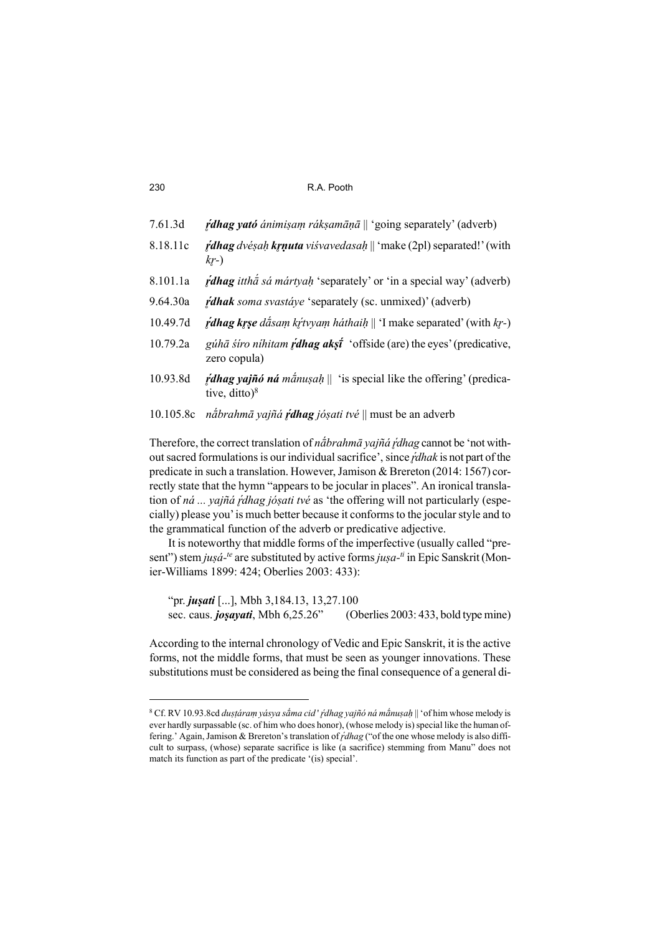- 7.61.3d *ŕ̥dhag yató ánimiṣaṃ rákṣamāṇā* || 'going separately' (adverb)
- 8.18.11c *ŕ̥dhag dvéṣaḥ kr̥ṇuta viśvavedasaḥ* || 'make (2pl) separated!' (with *kr̥ -*)
- 8.101.1a *ŕ̥dhag itthā́ sá mártyaḥ* 'separately' or 'in a special way' (adverb)
- 9.64.30a *ŕ̥dhak soma svastáye* 'separately (sc. unmixed)' (adverb)
- 10.49.7d *<i>i***dhag kr̥ṣe** dā́saṃ kr̥itvyaṃ háthaiḥ || 'I make separated' (with *kr* -)
- 10.79.2a *gúhā śíro níhitam ŕ̥dhag akṣı̄́* 'offside (are) the eyes' (predicative, zero copula)
- 10.93.8d *ŕ̥dhag yajñó ná mā́nuṣaḥ* || 'is special like the offering' (predicative, ditto) $8$
- 10.105.8c *nā́brahmā yajñá ŕ̥dhag jóṣati tvé* || must be an adverb

Therefore, the correct translation of *nā́brahmā yajñá ŕ̥dhag* cannot be 'not without sacred formulations is our individual sacrifice', since *ŕ̥dhak* is not part of the predicate in such a translation. However, Jamison & Brereton (2014: 1567) correctly state that the hymn "appears to be jocular in places". An ironical translation of *ná ... yajñá ŕ̥dhag jóṣati tvé* as 'the offering will not particularly (especially) please you' is much better because it conforms to the jocular style and to the grammatical function of the adverb or predicative adjective.

It is noteworthy that middle forms of the imperfective (usually called "present") stem *juṣá-te* are substituted by active forms *juṣa-ti* in Epic Sanskrit (Monier-Williams 1899: 424; Oberlies 2003: 433):

 "pr. *juṣati* [...], Mbh 3,184.13, 13,27.100 sec. caus. *joṣayati*, Mbh 6,25.26" (Oberlies 2003: 433, bold type mine)

According to the internal chronology of Vedic and Epic Sanskrit, it is the active forms, not the middle forms, that must be seen as younger innovations. These substitutions must be considered as being the final consequence of a general di-

<sup>8</sup> Cf. RV 10.93.8cd *duṣṭáraṃ yásya sā́ma cid* ' *ŕ̥dhag yajñó ná mā́nuṣaḥ* || 'of him whose melody is ever hardly surpassable (sc. of him who does honor), (whose melody is) special like the human offering.' Again, Jamison & Brereton's translation of*ŕ̥dhag* ("of the one whose melody is also difficult to surpass, (whose) separate sacrifice is like (a sacrifice) stemming from Manu" does not match its function as part of the predicate '(is) special'.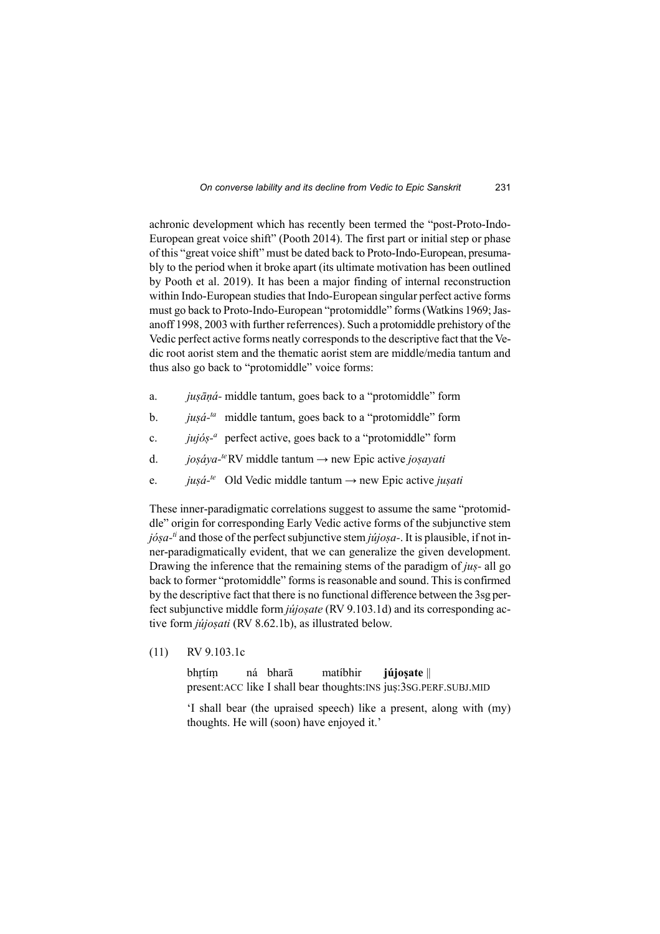achronic development which has recently been termed the "post-Proto-Indo-European great voice shift" (Pooth 2014). The first part or initial step or phase of this "great voice shift" must be dated back to Proto-Indo-European, presumably to the period when it broke apart (its ultimate motivation has been outlined by Pooth et al. 2019). It has been a major finding of internal reconstruction within Indo-European studies that Indo-European singular perfect active forms must go back to Proto-Indo-European "protomiddle" forms (Watkins 1969; Jasanoff 1998, 2003 with further referrences). Such a protomiddle prehistory of the Vedic perfect active forms neatly corresponds to the descriptive fact that the Vedic root aorist stem and the thematic aorist stem are middle/media tantum and thus also go back to "protomiddle" voice forms:

- a. *juṣāṇá-* middle tantum, goes back to a "protomiddle" form
- b. *juṣá-ta* middle tantum, goes back to a "protomiddle" form
- c. *jujóṣ-<sup>a</sup>*perfect active, goes back to a "protomiddle" form
- d. *joṣáya-te* RV middle tantum → new Epic active *joṣayati*
- e. *juṣá-te* Old Vedic middle tantum → new Epic active *juṣati*

These inner-paradigmatic correlations suggest to assume the same "protomiddle" origin for corresponding Early Vedic active forms of the subjunctive stem *jóṣa-ti* and those of the perfect subjunctive stem *jújoṣa-*. It is plausible, if not inner-paradigmatically evident, that we can generalize the given development. Drawing the inference that the remaining stems of the paradigm of *juṣ-* all go back to former "protomiddle" forms is reasonable and sound. This is confirmed by the descriptive fact that there is no functional difference between the 3sg perfect subjunctive middle form *jújoṣate* (RV 9.103.1d) and its corresponding active form *jújoṣati* (RV 8.62.1b), as illustrated below.

(11) RV 9.103.1c

 bhr̥ tíṃ ná bharā matíbhir **jújoṣate** || present:ACC like I shall bear thoughts:INS juṣ:3SG.PERF.SUBJ.MID

'I shall bear (the upraised speech) like a present, along with (my) thoughts. He will (soon) have enjoyed it.'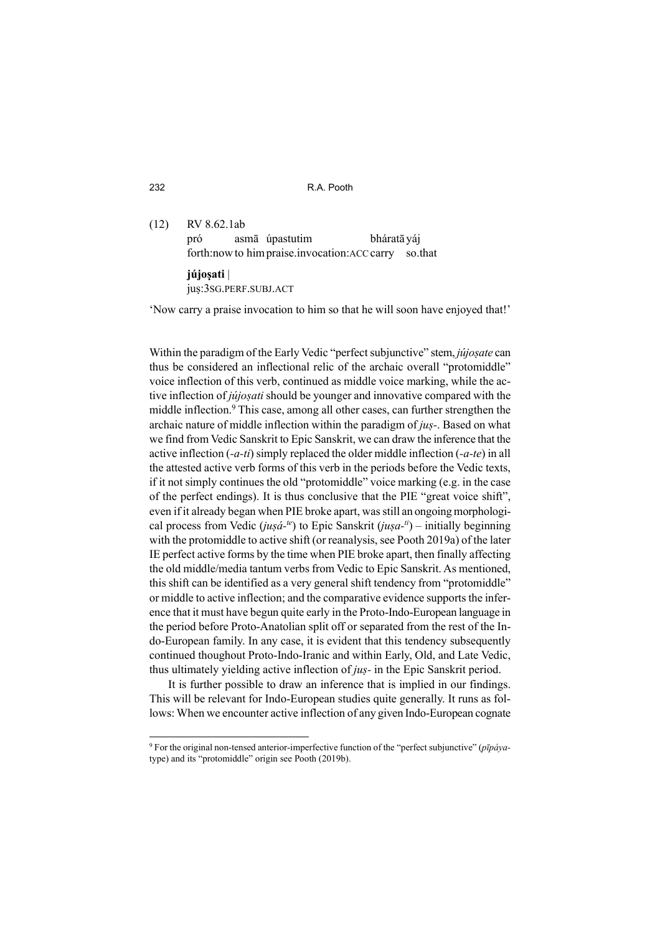(12) RV 8.62.1ab pró asmā úpastutim bháratā yáj forth:now to himpraise.invocation:ACC carry so.that **jújoṣati** | juṣ:3SG.PERF.SUBJ.ACT

'Now carry a praise invocation to him so that he will soon have enjoyed that!'

Within the paradigm of the Early Vedic "perfect subjunctive" stem, *jújosate* can thus be considered an inflectional relic of the archaic overall "protomiddle" voice inflection of this verb, continued as middle voice marking, while the active inflection of *jújosati* should be younger and innovative compared with the middle inflection.<sup>9</sup> This case, among all other cases, can further strengthen the archaic nature of middle inflection within the paradigm of *juṣ-*. Based on what we find from Vedic Sanskrit to Epic Sanskrit, we can draw the inference that the active inflection (*-a-ti*) simply replaced the older middle inflection (*-a-te*) in all the attested active verb forms of this verb in the periods before the Vedic texts, if it not simply continues the old "protomiddle" voice marking (e.g. in the case of the perfect endings). It is thus conclusive that the PIE "great voice shift", even if it already began when PIE broke apart, was still an ongoing morphological process from Vedic (*jusá-<sup>te</sup>*) to Epic Sanskrit (*jusa-<sup>ti</sup>*) – initially beginning with the protomiddle to active shift (or reanalysis, see Pooth 2019a) of the later IE perfect active forms by the time when PIE broke apart, then finally affecting the old middle/media tantum verbs from Vedic to Epic Sanskrit. As mentioned, this shift can be identified as a very general shift tendency from "protomiddle" or middle to active inflection; and the comparative evidence supports the inference that it must have begun quite early in the Proto-Indo-European language in the period before Proto-Anatolian split off or separated from the rest of the Indo-European family. In any case, it is evident that this tendency subsequently continued thoughout Proto-Indo-Iranic and within Early, Old, and Late Vedic, thus ultimately yielding active inflection of *juṣ-* in the Epic Sanskrit period.

It is further possible to draw an inference that is implied in our findings. This will be relevant for Indo-European studies quite generally. It runs as follows: When we encounter active inflection of any given Indo-European cognate

<sup>9</sup> For the original non-tensed anterior-imperfective function of the "perfect subjunctive" (*pīpáya*type) and its "protomiddle" origin see Pooth (2019b).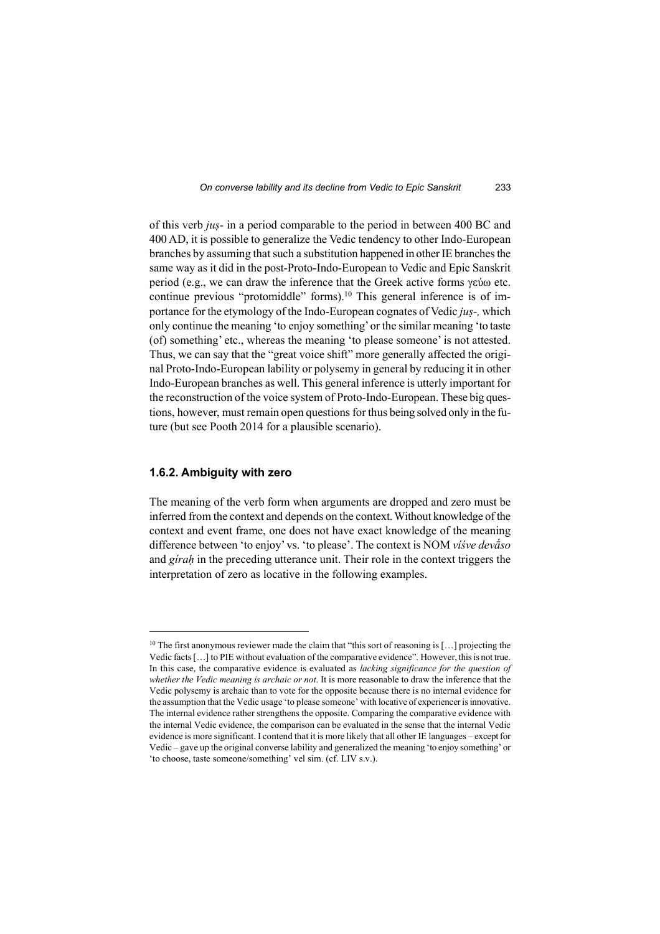of this verb *juṣ-* in a period comparable to the period in between 400 BC and 400 AD, it is possible to generalize the Vedic tendency to other Indo-European branches by assuming that such a substitution happened in other IE branches the same way as it did in the post-Proto-Indo-European to Vedic and Epic Sanskrit period (e.g., we can draw the inference that the Greek active forms γεύω etc. continue previous "protomiddle" forms).10 This general inference is of importance for the etymology of the Indo-European cognates of Vedic *juṣ-,* which only continue the meaning 'to enjoy something' or the similar meaning 'to taste (of) something' etc., whereas the meaning 'to please someone' is not attested. Thus, we can say that the "great voice shift" more generally affected the original Proto-Indo-European lability or polysemy in general by reducing it in other Indo-European branches as well. This general inference is utterly important for the reconstruction of the voice system of Proto-Indo-European. These big questions, however, must remain open questions for thus being solved only in the future (but see Pooth 2014 for a plausible scenario).

#### **1.6.2. Ambiguity with zero**

The meaning of the verb form when arguments are dropped and zero must be inferred from the context and depends on the context. Without knowledge of the context and event frame, one does not have exact knowledge of the meaning difference between 'to enjoy' vs. 'to please'. The context is NOM *víśve devā́so*  and *gíraḥ* in the preceding utterance unit. Their role in the context triggers the interpretation of zero as locative in the following examples.

<sup>&</sup>lt;sup>10</sup> The first anonymous reviewer made the claim that "this sort of reasoning is [...] projecting the Vedic facts […] to PIE without evaluation of the comparative evidence". However, this is not true. In this case, the comparative evidence is evaluated as *lacking significance for the question of whether the Vedic meaning is archaic or not*. It is more reasonable to draw the inference that the Vedic polysemy is archaic than to vote for the opposite because there is no internal evidence for the assumption that the Vedic usage 'to please someone' with locative of experiencer is innovative. The internal evidence rather strengthens the opposite. Comparing the comparative evidence with the internal Vedic evidence, the comparison can be evaluated in the sense that the internal Vedic evidence is more significant. I contend that it is more likely that all other IE languages – except for Vedic – gave up the original converse lability and generalized the meaning 'to enjoy something' or 'to choose, taste someone/something' vel sim. (cf. LIV s.v.).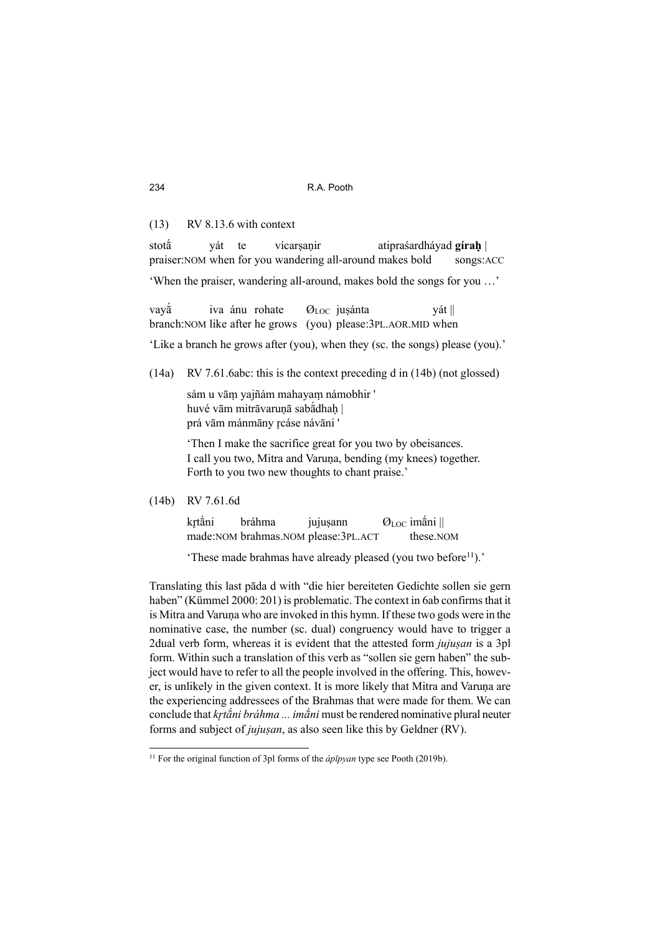(13) RV 8.13.6 with context

stota<sup>̃</sup> vát te vícarsanir atipraśardháyad **gírah** praiser:NOM when for you wandering all-around makes bold songs:ACC

'When the praiser, wandering all-around, makes bold the songs for you …'

vayā iva ánu rohate  $\mathcal{O}_{LOC}$  jusánta yát || branch:NOM like after he grows (you) please:3PL.AOR.MID when

'Like a branch he grows after (you), when they (sc. the songs) please (you).'

(14a) RV 7.61.6abc: this is the context preceding d in (14b) (not glossed)

sám u vāṃ yajñám mahayaṃ námobhir ' huvé vām mitrāvarunā sabā́dhah | prá vām mánmāny rcáse návāni '

'Then I make the sacrifice great for you two by obeisances. I call you two, Mitra and Varuna, bending (my knees) together. Forth to you two new thoughts to chant praise.'

(14b) RV 7.61.6d

krtāni bráhma jujusann  $\mathcal{O}_{\text{LOC}}$  imā́ni || made:NOM brahmas.NOM please:3PL.ACT these.NOM

'These made brahmas have already pleased (you two before<sup>11</sup>).'

Translating this last pāda d with "die hier bereiteten Gedichte sollen sie gern haben" (Kümmel 2000: 201) is problematic. The context in 6ab confirms that it is Mitra and Varuna who are invoked in this hymn. If these two gods were in the nominative case, the number (sc. dual) congruency would have to trigger a 2dual verb form, whereas it is evident that the attested form *jujusan* is a 3pl form. Within such a translation of this verb as "sollen sie gern haben" the subject would have to refer to all the people involved in the offering. This, however, is unlikely in the given context. It is more likely that Mitra and Varuṇa are the experiencing addressees of the Brahmas that were made for them. We can conclude that *kr̥ tā́ni bráhma ... imā́ni* must be rendered nominative plural neuter forms and subject of *jujuṣan*, as also seen like this by Geldner (RV).

<sup>&</sup>lt;sup>11</sup> For the original function of 3pl forms of the *ápīpyan* type see Pooth (2019b).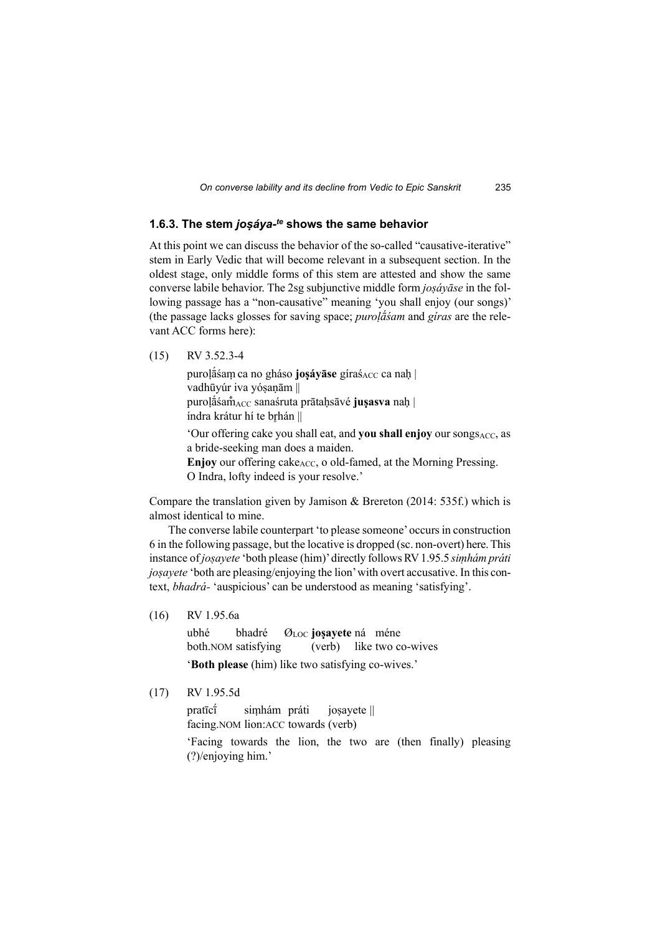#### **1.6.3. The stem** *joṣáya-te* **shows the same behavior**

At this point we can discuss the behavior of the so-called "causative-iterative" stem in Early Vedic that will become relevant in a subsequent section. In the oldest stage, only middle forms of this stem are attested and show the same converse labile behavior. The 2sg subjunctive middle form *joṣáyāse* in the following passage has a "non-causative" meaning 'you shall enjoy (our songs)' (the passage lacks glosses for saving space; *puroḷā́śam* and *gíras* are the relevant ACC forms here):

(15) RV 3.52.3-4

purolā́sam ca no gháso **josáyāse** gíras<sub>ACC</sub> ca nah | vadhūyúr iva yóṣaṇām || purolā́śam̃<sub>ACC</sub> sanaśruta prātahsāvé **juṣasva** nah | índra krátur hí te brhán || 'Our offering cake you shall eat, and you shall enjoy our songs<sub>ACC</sub>, as a bride-seeking man does a maiden. **Enjoy** our offering cake<sub>ACC</sub>, o old-famed, at the Morning Pressing. O Indra, lofty indeed is your resolve.'

Compare the translation given by Jamison & Brereton (2014: 535f.) which is almost identical to mine.

The converse labile counterpart 'to please someone' occurs in construction 6 in the following passage, but the locative is dropped (sc. non-overt) here. This instance of *joṣayete* 'both please (him)' directly follows RV 1.95.5 *siṃhám práti joṣayete* 'both are pleasing/enjoying the lion' with overt accusative. In this context, *bhadrá-* 'auspicious' can be understood as meaning 'satisfying'.

(16) RV 1.95.6a

ubhé bhadré Ø<sub>LOC</sub> **josayete** ná méne both.NOM satisfying (verb) like two co-wives '**Both please** (him) like two satisfying co-wives.'

(17) RV 1.95.5d

pratīcī́ siṃhám práti joṣayete || facing.NOM lion:ACC towards (verb)

'Facing towards the lion, the two are (then finally) pleasing (?)/enjoying him.'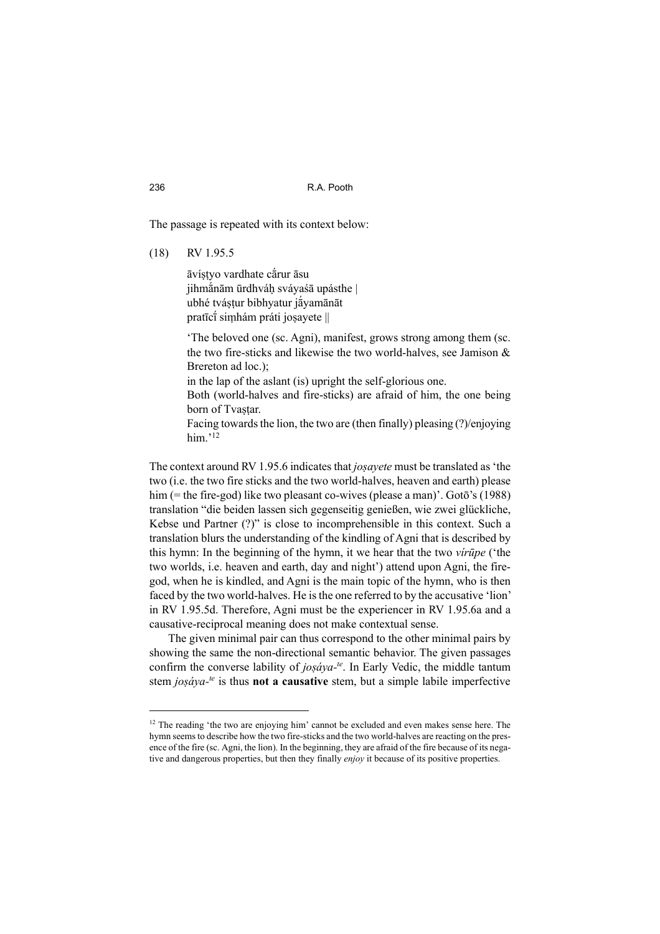The passage is repeated with its context below:

#### (18) RV 1.95.5

āvíṣṭyo vardhate cā́rur āsu jihmānām ūrdhváh svávaśā upásthe | ubhé tváṣṭur bibhyatur jā́yamānāt pratīcī́ siṃhám práti joṣayete ||

'The beloved one (sc. Agni), manifest, grows strong among them (sc. the two fire-sticks and likewise the two world-halves, see Jamison & Brereton ad loc.);

in the lap of the aslant (is) upright the self-glorious one.

Both (world-halves and fire-sticks) are afraid of him, the one being born of Tvastar.

Facing towards the lion, the two are (then finally) pleasing (?)/enjoying him. $12$ 

The context around RV 1.95.6 indicates that *joṣayete* must be translated as 'the two (i.e. the two fire sticks and the two world-halves, heaven and earth) please him (= the fire-god) like two pleasant co-wives (please a man)'. Gotō's (1988) translation "die beiden lassen sich gegenseitig genießen, wie zwei glückliche, Kebse und Partner (?)" is close to incomprehensible in this context. Such a translation blurs the understanding of the kindling of Agni that is described by this hymn: In the beginning of the hymn, it we hear that the two *vírūpe* ('the two worlds, i.e. heaven and earth, day and night') attend upon Agni, the firegod, when he is kindled, and Agni is the main topic of the hymn, who is then faced by the two world-halves. He is the one referred to by the accusative 'lion' in RV 1.95.5d. Therefore, Agni must be the experiencer in RV 1.95.6a and a causative-reciprocal meaning does not make contextual sense.

The given minimal pair can thus correspond to the other minimal pairs by showing the same the non-directional semantic behavior. The given passages confirm the converse lability of *joṣáya-te*. In Early Vedic, the middle tantum stem *joṣáya-te* is thus **not a causative** stem, but a simple labile imperfective

 $12$  The reading 'the two are enjoying him' cannot be excluded and even makes sense here. The hymn seems to describe how the two fire-sticks and the two world-halves are reacting on the presence of the fire (sc. Agni, the lion). In the beginning, they are afraid of the fire because of its negative and dangerous properties, but then they finally *enjoy* it because of its positive properties.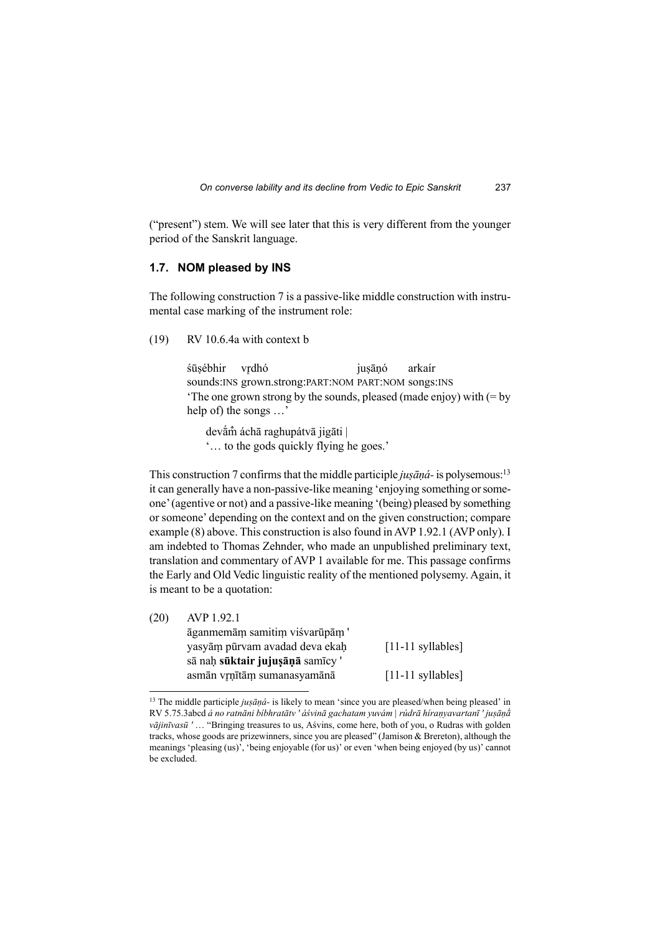("present") stem. We will see later that this is very different from the younger period of the Sanskrit language.

#### **1.7. NOM pleased by INS**

The following construction 7 is a passive-like middle construction with instrumental case marking of the instrument role:

#### (19) RV 10.6.4a with context b

śūsébhir vrdhó iusānó arkaír sounds:INS grown.strong:PART:NOM PART:NOM songs:INS 'The one grown strong by the sounds, pleased (made enjoy) with (= by help of) the songs …'

 devā́m̐ áchā raghupátvā jigāti | '… to the gods quickly flying he goes.'

This construction 7 confirms that the middle participle *jusāna*- is polysemous:<sup>13</sup> it can generally have a non-passive-like meaning 'enjoying something or someone' (agentive or not) and a passive-like meaning '(being) pleased by something or someone' depending on the context and on the given construction; compare example (8) above. This construction is also found in AVP 1.92.1 (AVP only). I am indebted to Thomas Zehnder, who made an unpublished preliminary text, translation and commentary of AVP 1 available for me. This passage confirms the Early and Old Vedic linguistic reality of the mentioned polysemy. Again, it is meant to be a quotation:

| AVP 1.92.1                      |                     |
|---------------------------------|---------------------|
| āganmemām samitim viśvarūpām '  |                     |
| yasyām pūrvam avadad deva ekah  | $[11-11$ syllables] |
| sā nah sūktair jujusāņā samīcy' |                     |
| asmān vrņītām sumanasyamānā     | $[11-11$ syllables] |
|                                 |                     |

<sup>13</sup> The middle participle *juṣāṇá-* is likely to mean 'since you are pleased/when being pleased' in RV 5.75.3abcd *á no ratnāni bíbhratātv ' áśvinā gachatam yuvám | rúdrā híraṇyavartanī ' juṣāṇā́ vājinīvasū '* … "Bringing treasures to us, Aśvins, come here, both of you, o Rudras with golden tracks, whose goods are prizewinners, since you are pleased" (Jamison & Brereton), although the meanings 'pleasing (us)', 'being enjoyable (for us)' or even 'when being enjoyed (by us)' cannot be excluded.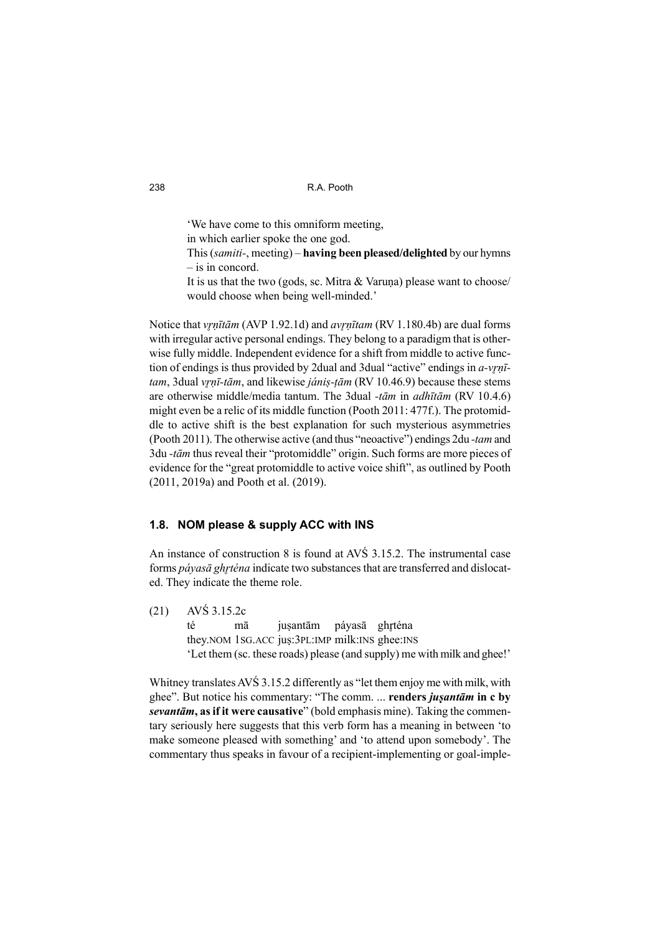'We have come to this omniform meeting, in which earlier spoke the one god. This (*samiti-*, meeting) – **having been pleased/delighted** by our hymns – is in concord. It is us that the two (gods, sc. Mitra & Varuṇa) please want to choose/ would choose when being well-minded.'

Notice that *vr̥ ṇītām* (AVP 1.92.1d) and *avr̥ ṇītam* (RV 1.180.4b) are dual forms with irregular active personal endings. They belong to a paradigm that is otherwise fully middle. Independent evidence for a shift from middle to active function of endings is thus provided by 2dual and 3dual "active" endings in *a-vrn*<sup> $=$ </sup> *tam*, 3dual *vrnī-tām*, and likewise *jánis-tām* (RV 10.46.9) because these stems are otherwise middle/media tantum. The 3dual *-tām* in *adhītām* (RV 10.4.6) might even be a relic of its middle function (Pooth 2011: 477f.). The protomiddle to active shift is the best explanation for such mysterious asymmetries (Pooth 2011). The otherwise active (and thus "neoactive") endings 2du *-tam* and 3du *-tām* thus reveal their "protomiddle" origin. Such forms are more pieces of evidence for the "great protomiddle to active voice shift", as outlined by Pooth (2011, 2019a) and Pooth et al. (2019).

### **1.8. NOM please & supply ACC with INS**

An instance of construction 8 is found at AVŚ 3.15.2. The instrumental case forms *páyasā ghr̥ téna* indicate two substances that are transferred and dislocated. They indicate the theme role.

(21) AVŚ 3.15.2c té mā jusantām páyasā ghrténa they.NOM 1SG.ACC juṣ:3PL:IMP milk:INS ghee:INS 'Let them (sc. these roads) please (and supply) me with milk and ghee!'

Whitney translates AVŚ 3.15.2 differently as "let them enjoy me with milk, with ghee". But notice his commentary: "The comm. ... **renders** *juṣantām* **in c by**  *sevantām***, as if it were causative**" (bold emphasis mine). Taking the commentary seriously here suggests that this verb form has a meaning in between 'to make someone pleased with something' and 'to attend upon somebody'. The commentary thus speaks in favour of a recipient-implementing or goal-imple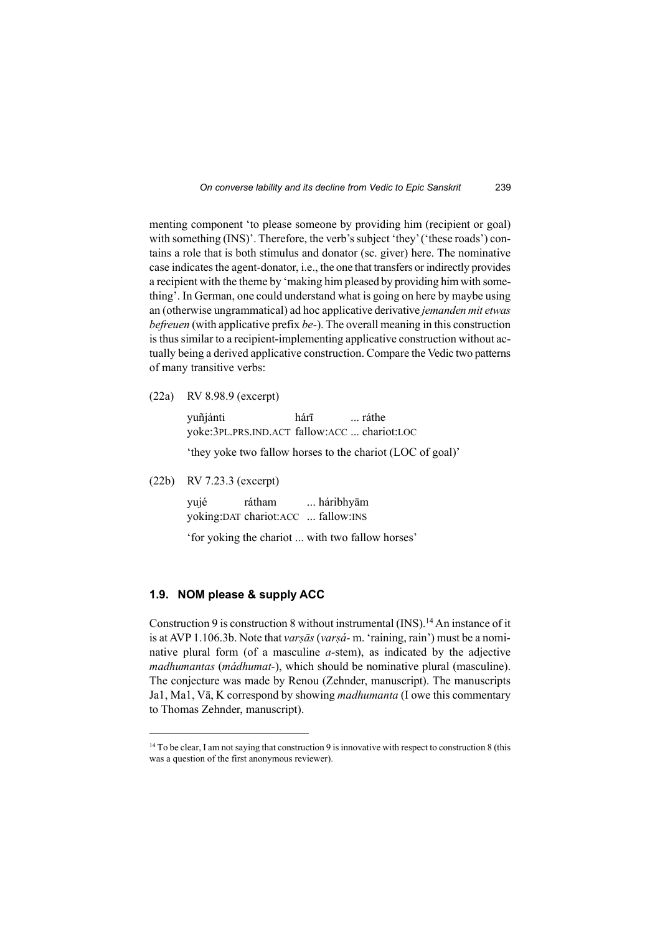menting component 'to please someone by providing him (recipient or goal) with something (INS)'. Therefore, the verb's subject 'they' ('these roads') contains a role that is both stimulus and donator (sc. giver) here. The nominative case indicates the agent-donator, i.e., the one that transfers or indirectly provides a recipient with the theme by 'making him pleased by providing him with something'. In German, one could understand what is going on here by maybe using an (otherwise ungrammatical) ad hoc applicative derivative *jemanden mit etwas befreuen* (with applicative prefix *be-*). The overall meaning in this construction is thus similar to a recipient-implementing applicative construction without actually being a derived applicative construction. Compare the Vedic two patterns of many transitive verbs:

(22a) RV 8.98.9 (excerpt)

 yuñjánti hárī ... ráthe yoke:3PL.PRS.IND.ACT fallow:ACC ... chariot:LOC

'they yoke two fallow horses to the chariot (LOC of goal)'

(22b) RV 7.23.3 (excerpt)

 yujé rátham ... háribhyām yoking:DAT chariot:ACC ... fallow:INS

'for yoking the chariot ... with two fallow horses'

#### **1.9. NOM please & supply ACC**

Construction 9 is construction 8 without instrumental  $(INS).<sup>14</sup> An instance of it$ is at AVP 1.106.3b. Note that *varṣās* (*varṣá-* m. 'raining, rain') must be a nominative plural form (of a masculine *a-*stem), as indicated by the adjective *madhumantas* (*mádhumat-*), which should be nominative plural (masculine). The conjecture was made by Renou (Zehnder, manuscript). The manuscripts Ja1, Ma1, Vā, K correspond by showing *madhumanta* (I owe this commentary to Thomas Zehnder, manuscript).

<sup>&</sup>lt;sup>14</sup> To be clear, I am not saying that construction 9 is innovative with respect to construction 8 (this was a question of the first anonymous reviewer).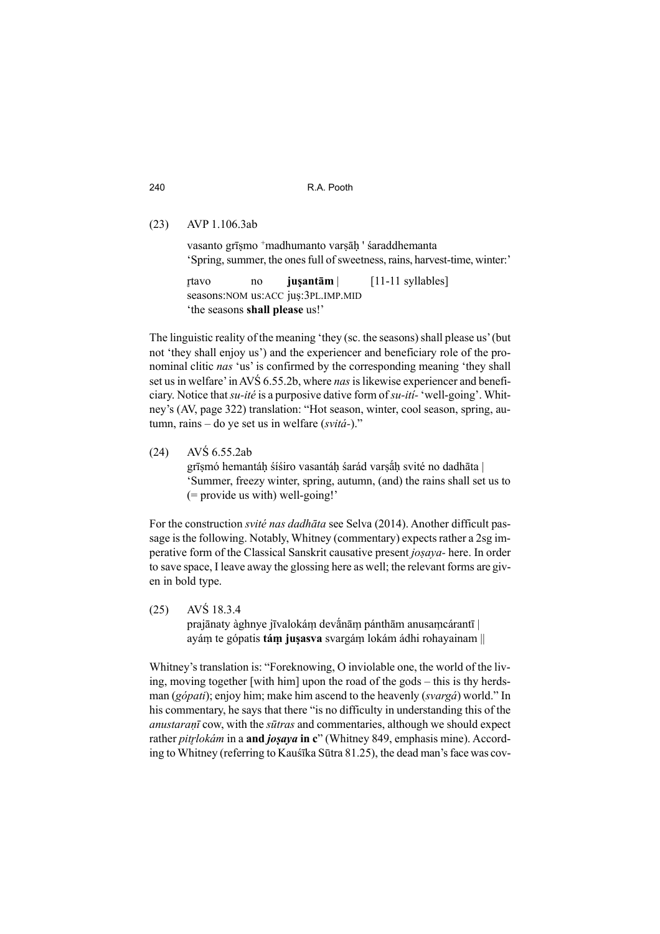(23) AVP 1.106.3ab

vasanto grīṣmo <sup>+</sup>madhumanto varṣāḥ ' śaraddhemanta 'Spring, summer, the ones full of sweetness, rains, harvest-time, winter:'

 r̥ tavo no **juṣantām** | [11-11 syllables] seasons:NOM us:ACC jus:3PL.IMP.MID 'the seasons **shall please** us!'

The linguistic reality of the meaning 'they (sc. the seasons) shall please us' (but not 'they shall enjoy us') and the experiencer and beneficiary role of the pronominal clitic *nas* 'us' is confirmed by the corresponding meaning 'they shall set us in welfare' in AVŚ 6.55.2b, where *nas* is likewise experiencer and beneficiary. Notice that *su-ité* is a purposive dative form of *su-ití-* 'well-going'. Whitney's (AV, page 322) translation: "Hot season, winter, cool season, spring, autumn, rains – do ye set us in welfare (*svitá-*)."

(24) AVŚ 6.55.2ab grīsmó hemantáh śíśiro vasantáh śarád varsāh svité no dadhāta | 'Summer, freezy winter, spring, autumn, (and) the rains shall set us to (= provide us with) well-going!'

For the construction *svité nas dadhāta* see Selva (2014). Another difficult passage is the following. Notably, Whitney (commentary) expects rather a 2sg imperative form of the Classical Sanskrit causative present *joṣaya-* here. In order to save space, I leave away the glossing here as well; the relevant forms are given in bold type.

(25) AVŚ 18.3.4 prajānaty àghnye jīvalokáṃ devā́nāṃ pánthām anusaṃcárantī | ayáṃ te gópatis **táṃ juṣasva** svargáṃ lokám ádhi rohayainam ||

Whitney's translation is: "Foreknowing, O inviolable one, the world of the living, moving together [with him] upon the road of the gods – this is thy herdsman (*gópati*); enjoy him; make him ascend to the heavenly (*svargá*) world." In his commentary, he says that there "is no difficulty in understanding this of the *anustaraṇī* cow, with the *sūtras* and commentaries, although we should expect rather *pitr̥ lokám* in a **and** *joṣaya* **in c**" (Whitney 849, emphasis mine). According to Whitney (referring to Kauśīka Sūtra 81.25), the dead man's face was cov-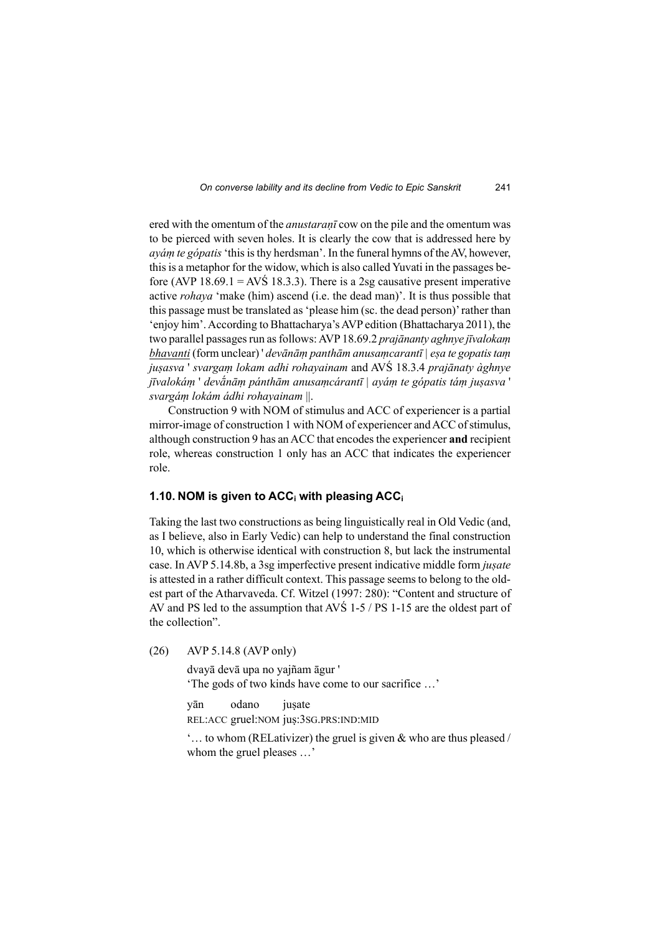ered with the omentum of the *anustaraṇī* cow on the pile and the omentum was to be pierced with seven holes. It is clearly the cow that is addressed here by *ayáṃ te gópatis* 'this is thy herdsman'. In the funeral hymns of the AV, however, this is a metaphor for the widow, which is also called Yuvati in the passages before (AVP 18.69.1 = AVS 18.3.3). There is a 2sg causative present imperative active *rohaya* 'make (him) ascend (i.e. the dead man)'. It is thus possible that this passage must be translated as 'please him (sc. the dead person)' rather than 'enjoy him'. According to Bhattacharya's AVP edition (Bhattacharya 2011), the two parallel passages run as follows: AVP 18.69.2 *prajānanty aghnye jīvalokaṃ bhavanti* (form unclear) ' *devānāṃ panthām anusaṃcarantī | eṣa te gopatis taṃ juṣasva* ' *svargaṃ lokam adhi rohayainam* and AVŚ 18.3.4 *prajānaty àghnye jīvalokáṃ* ' *devā́nāṃ pánthām anusaṃcárantī | ayáṃ te gópatis táṃ juṣasva* ' *svargáṃ lokám ádhi rohayainam* ||.

Construction 9 with NOM of stimulus and ACC of experiencer is a partial mirror-image of construction 1 with NOM of experiencer and ACC of stimulus, although construction 9 has an ACC that encodes the experiencer **and** recipient role, whereas construction 1 only has an ACC that indicates the experiencer role.

#### **1.10. NOM is given to ACCi with pleasing ACC<sup>i</sup>**

Taking the last two constructions as being linguistically real in Old Vedic (and, as I believe, also in Early Vedic) can help to understand the final construction 10, which is otherwise identical with construction 8, but lack the instrumental case. In AVP 5.14.8b, a 3sg imperfective present indicative middle form *juṣate* is attested in a rather difficult context. This passage seems to belong to the oldest part of the Atharvaveda. Cf. Witzel (1997: 280): "Content and structure of AV and PS led to the assumption that AVŚ 1-5 / PS 1-15 are the oldest part of the collection".

(26) AVP 5.14.8 (AVP only)

dvayā devā upa no yajñam āgur ' 'The gods of two kinds have come to our sacrifice …'

 yān odano juṣate REL:ACC gruel:NOM juṣ:3SG.PRS:IND:MID

'… to whom (RELativizer) the gruel is given & who are thus pleased / whom the gruel pleases …'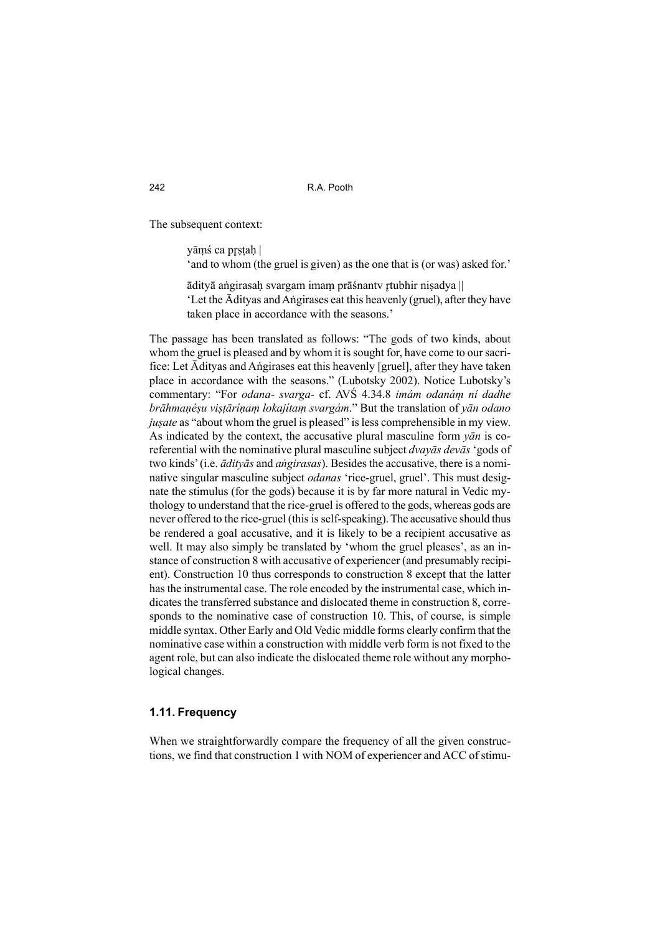The subsequent context:

yāmś ca prstah |

'and to whom (the gruel is given) as the one that is (or was) asked for.'

ādityā aṅgirasah svargam imam prāśnantv r̥tubhir nisadya || 'Let the Ādityas and Aṅgirases eat this heavenly (gruel), after they have taken place in accordance with the seasons.'

The passage has been translated as follows: "The gods of two kinds, about whom the gruel is pleased and by whom it is sought for, have come to our sacrifice: Let Ādityas and Aṅgirases eat this heavenly [gruel], after they have taken place in accordance with the seasons." (Lubotsky 2002). Notice Lubotsky's commentary: "For *odana- svarga-* cf. AVŚ 4.34.8 *imám odanáṃ ní dadhe brāhmaṇéṣu viṣṭāríṇaṃ lokajítaṃ svargám*." But the translation of *yān odano jusate* as "about whom the gruel is pleased" is less comprehensible in my view. As indicated by the context, the accusative plural masculine form *yān* is coreferential with the nominative plural masculine subject *dvayās devās* 'gods of two kinds' (i.e. *ādityās* and *aṅgirasas*). Besides the accusative, there is a nominative singular masculine subject *odanas* 'rice-gruel, gruel'. This must designate the stimulus (for the gods) because it is by far more natural in Vedic mythology to understand that the rice-gruel is offered to the gods, whereas gods are never offered to the rice-gruel (this is self-speaking). The accusative should thus be rendered a goal accusative, and it is likely to be a recipient accusative as well. It may also simply be translated by 'whom the gruel pleases', as an instance of construction 8 with accusative of experiencer (and presumably recipient). Construction 10 thus corresponds to construction 8 except that the latter has the instrumental case. The role encoded by the instrumental case, which indicates the transferred substance and dislocated theme in construction 8, corresponds to the nominative case of construction 10. This, of course, is simple middle syntax. Other Early and Old Vedic middle forms clearly confirm that the nominative case within a construction with middle verb form is not fixed to the agent role, but can also indicate the dislocated theme role without any morphological changes.

#### **1.11. Frequency**

When we straightforwardly compare the frequency of all the given constructions, we find that construction 1 with NOM of experiencer and ACC of stimu-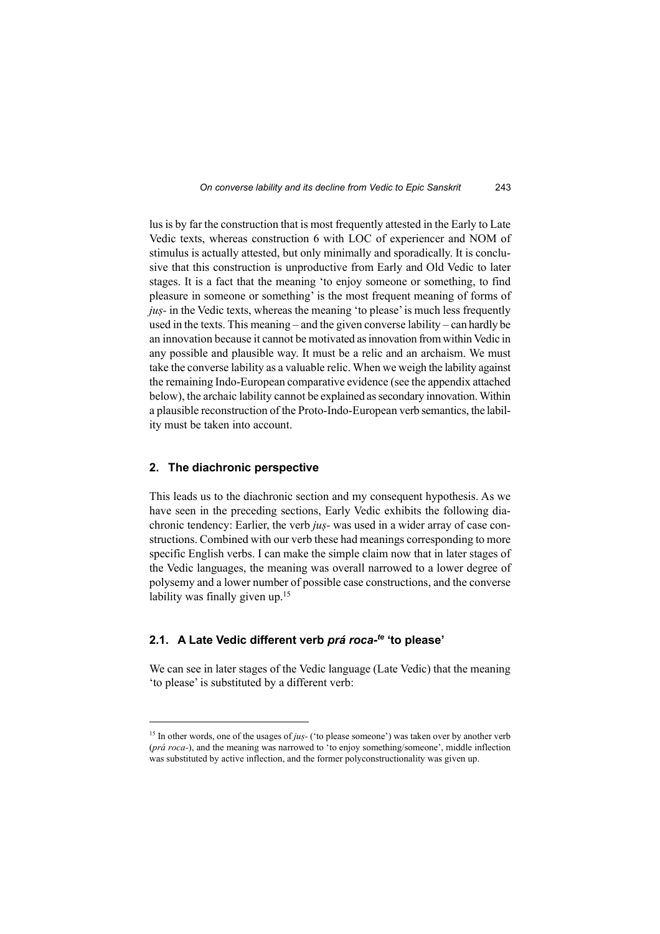lus is by far the construction that is most frequently attested in the Early to Late Vedic texts, whereas construction 6 with LOC of experiencer and NOM of stimulus is actually attested, but only minimally and sporadically. It is conclusive that this construction is unproductive from Early and Old Vedic to later stages. It is a fact that the meaning 'to enjoy someone or something, to find pleasure in someone or something' is the most frequent meaning of forms of *juṣ-* in the Vedic texts, whereas the meaning 'to please' is much less frequently used in the texts. This meaning – and the given converse lability – can hardly be an innovation because it cannot be motivated as innovation from within Vedic in any possible and plausible way. It must be a relic and an archaism. We must take the converse lability as a valuable relic. When we weigh the lability against the remaining Indo-European comparative evidence (see the appendix attached below), the archaic lability cannot be explained as secondary innovation. Within a plausible reconstruction of the Proto-Indo-European verb semantics, the lability must be taken into account.

#### **2. The diachronic perspective**

This leads us to the diachronic section and my consequent hypothesis. As we have seen in the preceding sections, Early Vedic exhibits the following diachronic tendency: Earlier, the verb *juṣ-* was used in a wider array of case constructions. Combined with our verb these had meanings corresponding to more specific English verbs. I can make the simple claim now that in later stages of the Vedic languages, the meaning was overall narrowed to a lower degree of polysemy and a lower number of possible case constructions, and the converse lability was finally given up.<sup>15</sup>

#### **2.1. A Late Vedic different verb** *prá roca-te* **'to please'**

We can see in later stages of the Vedic language (Late Vedic) that the meaning 'to please' is substituted by a different verb:

<sup>&</sup>lt;sup>15</sup> In other words, one of the usages of *jus*- ('to please someone') was taken over by another verb (*prá roca-*), and the meaning was narrowed to 'to enjoy something/someone', middle inflection was substituted by active inflection, and the former polyconstructionality was given up.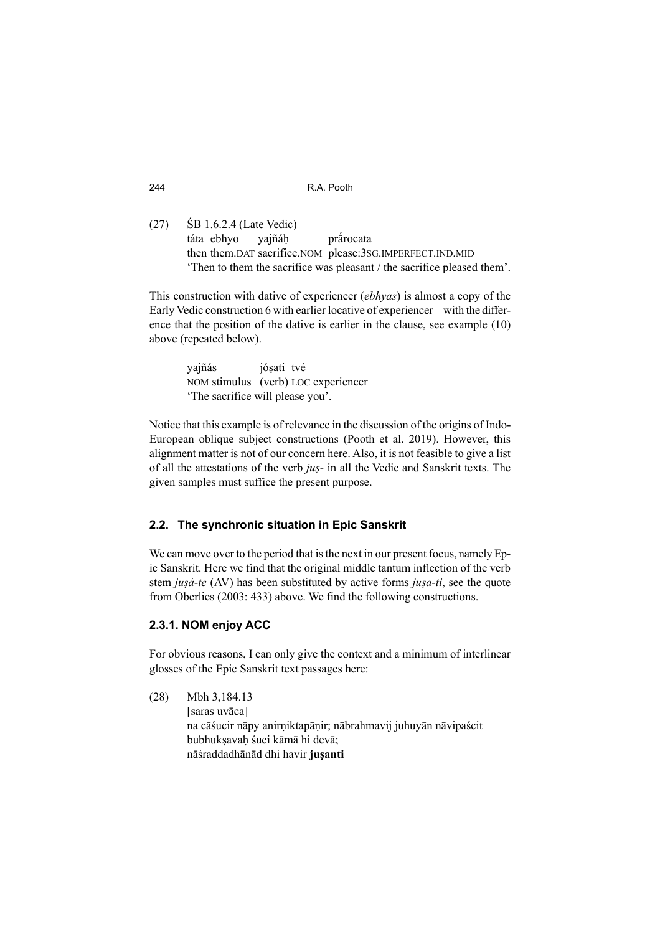(27) ŚB 1.6.2.4 (Late Vedic) táta ebhyo yajñáḥ prā́rocata then them.DAT sacrifice.NOM please:3SG.IMPERFECT.IND.MID 'Then to them the sacrifice was pleasant / the sacrifice pleased them'.

This construction with dative of experiencer (*ebhyas*) is almost a copy of the Early Vedic construction 6 with earlier locative of experiencer – with the difference that the position of the dative is earlier in the clause, see example (10) above (repeated below).

> yajñás jóṣati tvé NOM stimulus (verb) LOC experiencer 'The sacrifice will please you'.

Notice that this example is of relevance in the discussion of the origins of Indo-European oblique subject constructions (Pooth et al. 2019). However, this alignment matter is not of our concern here. Also, it is not feasible to give a list of all the attestations of the verb *juṣ-* in all the Vedic and Sanskrit texts. The given samples must suffice the present purpose.

## **2.2. The synchronic situation in Epic Sanskrit**

We can move over to the period that is the next in our present focus, namely Epic Sanskrit. Here we find that the original middle tantum inflection of the verb stem *juṣá-te* (AV) has been substituted by active forms *juṣa-ti*, see the quote from Oberlies (2003: 433) above. We find the following constructions.

## **2.3.1. NOM enjoy ACC**

For obvious reasons, I can only give the context and a minimum of interlinear glosses of the Epic Sanskrit text passages here:

(28) Mbh 3,184.13 [saras uvāca] na cāśucir nāpy anirṇiktapāṇir; nābrahmavij juhuyān nāvipaścit bubhukṣavaḥ śuci kāmā hi devā; nāśraddadhānād dhi havir **juṣanti**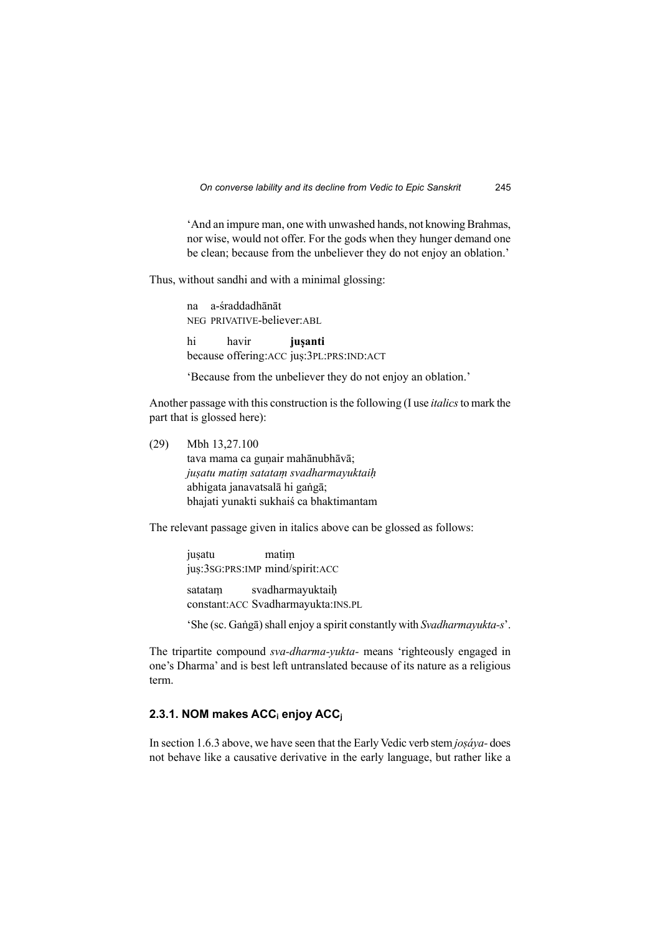'And an impure man, one with unwashed hands, not knowing Brahmas, nor wise, would not offer. For the gods when they hunger demand one be clean; because from the unbeliever they do not enjoy an oblation.'

Thus, without sandhi and with a minimal glossing:

 na a-śraddadhānāt NEG PRIVATIVE-believer:ABL

 hi havir **juṣanti** because offering:ACC juṣ:3PL:PRS:IND:ACT

'Because from the unbeliever they do not enjoy an oblation.'

Another passage with this construction is the following (I use *italics* to mark the part that is glossed here):

(29) Mbh 13,27.100

tava mama ca gunair mahānubhāvā; *juṣatu matiṃ satataṃ svadharmayuktaiḥ*  abhigata janavatsalā hi gaṅgā; bhajati yunakti sukhaiś ca bhaktimantam

The relevant passage given in italics above can be glossed as follows:

jusatu matim jus:3sG:PRS:IMP mind/spirit:ACC satatam svadharmayuktaih constant:ACC Svadharmayukta:INS.PL

'She (sc. Gaṅgā) shall enjoy a spirit constantly with *Svadharmayukta-s*'.

The tripartite compound *sva-dharma-yukta-* means 'righteously engaged in one's Dharma' and is best left untranslated because of its nature as a religious term.

### **2.3.1. NOM makes ACCi enjoy ACC<sup>j</sup>**

In section 1.6.3 above, we have seen that the Early Vedic verb stem *joṣáya-* does not behave like a causative derivative in the early language, but rather like a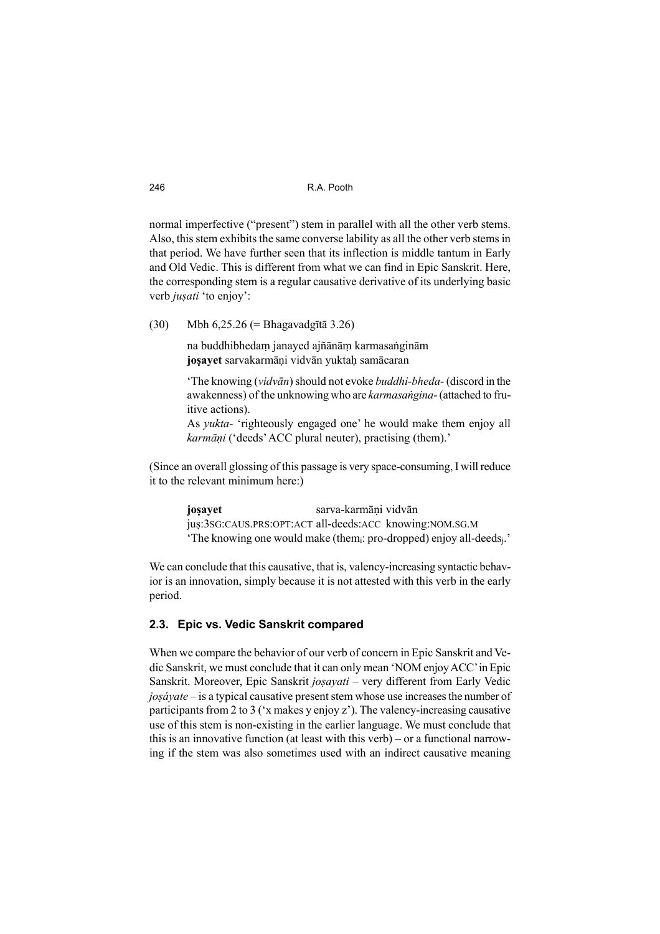normal imperfective ("present") stem in parallel with all the other verb stems. Also, this stem exhibits the same converse lability as all the other verb stems in that period. We have further seen that its inflection is middle tantum in Early and Old Vedic. This is different from what we can find in Epic Sanskrit. Here, the corresponding stem is a regular causative derivative of its underlying basic verb *juṣati* 'to enjoy':

(30) Mbh 6,25.26 (= Bhagavadgītā 3.26)

na buddhibhedaṃ janayed ajñānāṃ karmasaṅginām **joṣayet** sarvakarmāṇi vidvān yuktaḥ samācaran

'The knowing (*vidvān*) should not evoke *buddhi-bheda-* (discord in the awakenness) of the unknowing who are *karmasaṅgina-* (attached to fruitive actions).

As *yukta-* 'righteously engaged one' he would make them enjoy all *karmāṇi* ('deeds' ACC plural neuter), practising (them).'

(Since an overall glossing of this passage is very space-consuming, I will reduce it to the relevant minimum here:)

> **josayet** sarva-karmāni vidvān jus:3sG:CAUS.PRS:OPT:ACT all-deeds:ACC knowing:NOM.SG.M 'The knowing one would make (themi: pro-dropped) enjoy all-deedsj.'

We can conclude that this causative, that is, valency-increasing syntactic behavior is an innovation, simply because it is not attested with this verb in the early period.

### **2.3. Epic vs. Vedic Sanskrit compared**

When we compare the behavior of our verb of concern in Epic Sanskrit and Vedic Sanskrit, we must conclude that it can only mean 'NOM enjoy ACC' in Epic Sanskrit. Moreover, Epic Sanskrit *joṣayati* – very different from Early Vedic *joṣáyate* – is a typical causative present stem whose use increases the number of participants from 2 to 3 ('x makes y enjoy z'). The valency-increasing causative use of this stem is non-existing in the earlier language. We must conclude that this is an innovative function (at least with this verb) – or a functional narrowing if the stem was also sometimes used with an indirect causative meaning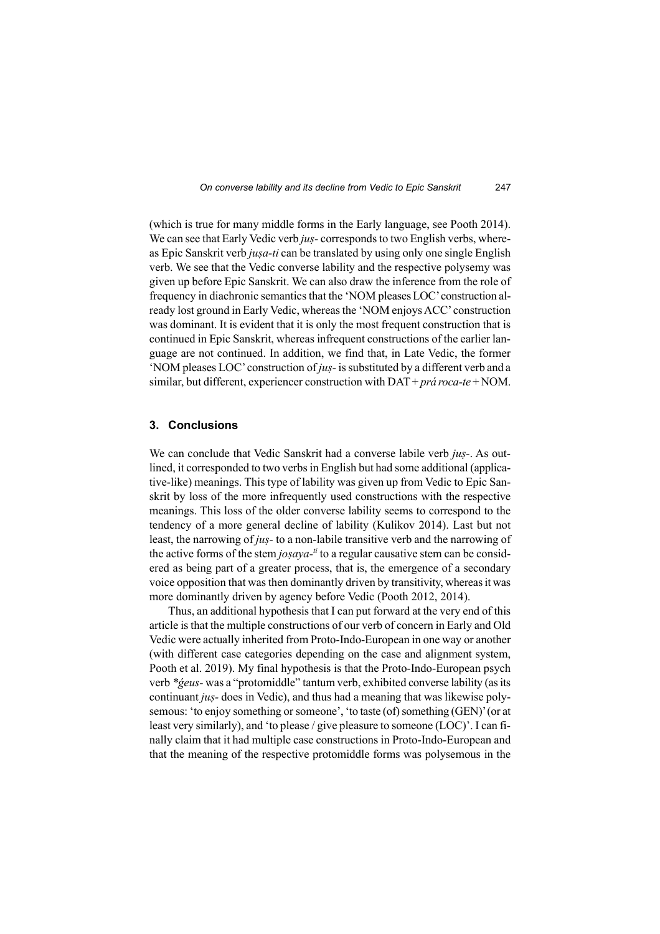(which is true for many middle forms in the Early language, see Pooth 2014). We can see that Early Vedic verb *jus*-corresponds to two English verbs, whereas Epic Sanskrit verb *juṣa-ti* can be translated by using only one single English verb. We see that the Vedic converse lability and the respective polysemy was given up before Epic Sanskrit. We can also draw the inference from the role of frequency in diachronic semantics that the 'NOM pleases LOC' construction already lost ground in Early Vedic, whereas the 'NOM enjoys ACC' construction was dominant. It is evident that it is only the most frequent construction that is continued in Epic Sanskrit, whereas infrequent constructions of the earlier language are not continued. In addition, we find that, in Late Vedic, the former 'NOM pleases LOC' construction of *juṣ-* is substituted by a different verb and a similar, but different, experiencer construction with DAT + *prá roca-te* + NOM.

#### **3. Conclusions**

We can conclude that Vedic Sanskrit had a converse labile verb *juṣ-*. As outlined, it corresponded to two verbs in English but had some additional (applicative-like) meanings. This type of lability was given up from Vedic to Epic Sanskrit by loss of the more infrequently used constructions with the respective meanings. This loss of the older converse lability seems to correspond to the tendency of a more general decline of lability (Kulikov 2014). Last but not least, the narrowing of *juṣ-* to a non-labile transitive verb and the narrowing of the active forms of the stem *josaya-<sup>ti</sup>* to a regular causative stem can be considered as being part of a greater process, that is, the emergence of a secondary voice opposition that was then dominantly driven by transitivity, whereas it was more dominantly driven by agency before Vedic (Pooth 2012, 2014).

Thus, an additional hypothesis that I can put forward at the very end of this article is that the multiple constructions of our verb of concern in Early and Old Vedic were actually inherited from Proto-Indo-European in one way or another (with different case categories depending on the case and alignment system, Pooth et al. 2019). My final hypothesis is that the Proto-Indo-European psych verb *\*ǵeus-* was a "protomiddle" tantum verb, exhibited converse lability (as its continuant *juṣ-* does in Vedic), and thus had a meaning that was likewise polysemous: 'to enjoy something or someone', 'to taste (of) something (GEN)' (or at least very similarly), and 'to please / give pleasure to someone (LOC)'. I can finally claim that it had multiple case constructions in Proto-Indo-European and that the meaning of the respective protomiddle forms was polysemous in the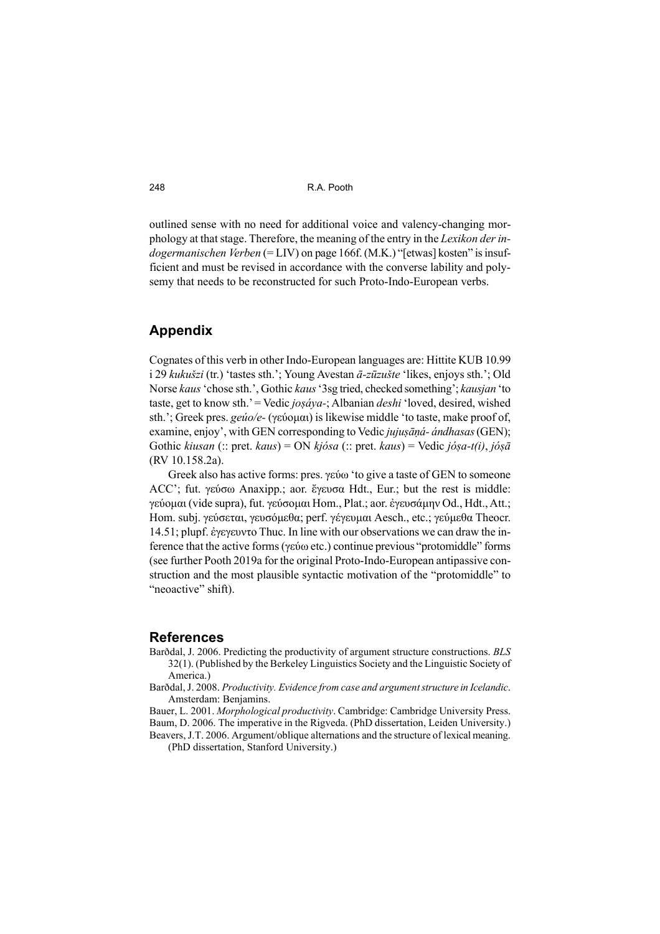outlined sense with no need for additional voice and valency-changing morphology at that stage. Therefore, the meaning of the entry in the *Lexikon der indogermanischen Verben* (= LIV) on page 166f. (M.K.) "[etwas] kosten" is insufficient and must be revised in accordance with the converse lability and polysemy that needs to be reconstructed for such Proto-Indo-European verbs.

#### **Appendix**

Cognates of this verb in other Indo-European languages are: Hittite KUB 10.99 i 29 *kukušzi* (tr.) 'tastes sth.'; Young Avestan *ā-zūzušte* 'likes, enjoys sth.'; Old Norse *kaus* 'chose sth.', Gothic *kaus* '3sg tried, checked something'; *kausjan* 'to taste, get to know sth.' = Vedic *joṣáya-*; Albanian *deshi* 'loved, desired, wished sth.'; Greek pres. *geúo/e-* (γεύομαι) is likewise middle 'to taste, make proof of, examine, enjoy', with GEN corresponding to Vedic *jujuṣāṇá- ándhasas* (GEN); Gothic *kiusan* (:: pret. *kaus*) = ON *kjósa* (:: pret. *kaus*) = Vedic *jóṣa-t(i)*, *jóṣā* (RV 10.158.2a).

Greek also has active forms: pres. γεύω 'to give a taste of GEN to someone ACC'; fut. γεύσω Anaxipp.; aor. ἔγευσα Hdt., Eur.; but the rest is middle: γεύομαι (vide supra), fut. γεύσομαι Hom., Plat.; aor. ἐγευσάμην Od., Hdt., Att.; Hom. subj. γεύσεται, γευσόμεθα; perf. γέγευμαι Aesch., etc.; γεύμεθα Theocr. 14.51; plupf. ἐγεγευντο Thuc. In line with our observations we can draw the inference that the active forms (γεύω etc.) continue previous "protomiddle" forms (see further Pooth 2019a for the original Proto-Indo-European antipassive construction and the most plausible syntactic motivation of the "protomiddle" to "neoactive" shift).

#### **References**

- Barðdal, J. 2006. Predicting the productivity of argument structure constructions. *BLS* 32(1). (Published by the Berkeley Linguistics Society and the Linguistic Society of America.)
- Barðdal, J. 2008. *Productivity. Evidence from case and argument structure in Icelandic*. Amsterdam: Benjamins.
- Bauer, L. 2001. *Morphological productivity*. Cambridge: Cambridge University Press. Baum, D. 2006. The imperative in the Rigveda. (PhD dissertation, Leiden University.)
- Beavers, J.T. 2006. Argument/oblique alternations and the structure of lexical meaning. (PhD dissertation, Stanford University.)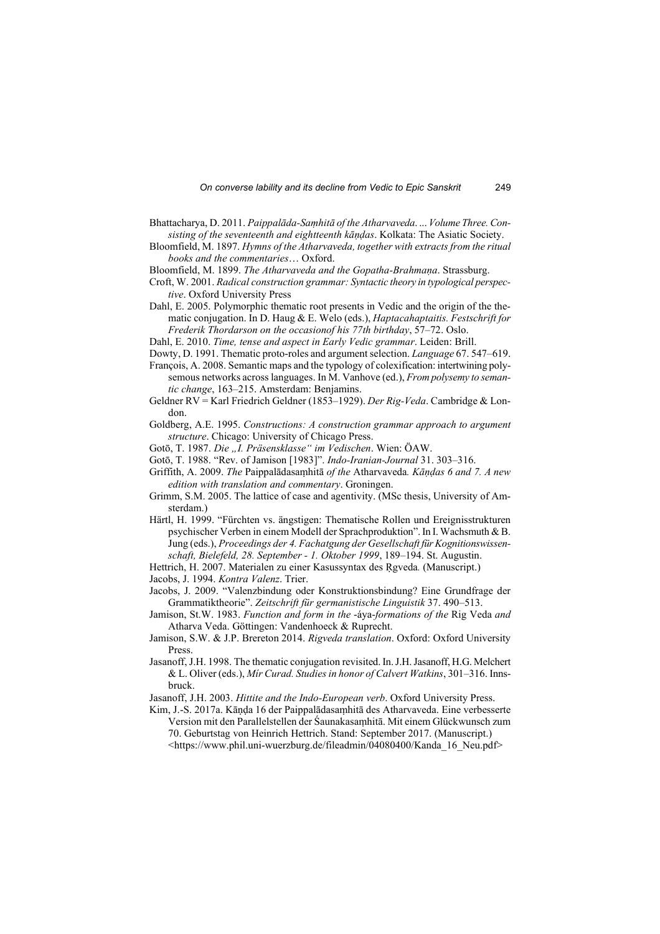- Bhattacharya, D. 2011. *Paippalāda-Saṃhitā of the Atharvaveda*. ... *Volume Three. Consisting of the seventeenth and eightteenth kāṇḍas*. Kolkata: The Asiatic Society.
- Bloomfield, M. 1897. *Hymns of the Atharvaveda, together with extracts from the ritual books and the commentaries*… Oxford.
- Bloomfield, M. 1899. *The Atharvaveda and the Gopatha-Brahmaṇa*. Strassburg.
- Croft, W. 2001. *Radical construction grammar: Syntactic theory in typological perspective*. Oxford University Press
- Dahl, E. 2005. Polymorphic thematic root presents in Vedic and the origin of the thematic conjugation. In D. Haug & E. Welo (eds.), *Haptacahaptaitis. Festschrift for Frederik Thordarson on the occasionof his 77th birthday*, 57–72. Oslo.
- Dahl, E. 2010. *Time, tense and aspect in Early Vedic grammar*. Leiden: Brill.
- Dowty, D. 1991. Thematic proto-roles and argument selection. *Language* 67. 547–619.
- François, A. 2008. Semantic maps and the typology of colexification: intertwining polysemous networks across languages. In M. Vanhove (ed.), *From polysemy to semantic change*, 163–215. Amsterdam: Benjamins.
- Geldner RV = Karl Friedrich Geldner (1853–1929). *Der Rig-Veda*. Cambridge & London.
- Goldberg, A.E. 1995. *Constructions: A construction grammar approach to argument structure*. Chicago: University of Chicago Press.
- Gotō, T. 1987. *Die "I. Präsensklasse" im Vedischen*. Wien: ÖAW.
- Gotō, T. 1988. "Rev. of Jamison [1983]". *Indo-Iranian-Journal* 31. 303–316.
- Griffith, A. 2009. *The* Paippalādasaṃhitā *of the* Atharvaveda*. Kāṇḍas 6 and 7. A new edition with translation and commentary*. Groningen.
- Grimm, S.M. 2005. The lattice of case and agentivity. (MSc thesis, University of Amsterdam.)
- Härtl, H. 1999. "Fürchten vs. ängstigen: Thematische Rollen und Ereignisstrukturen psychischer Verben in einem Modell der Sprachproduktion". In I. Wachsmuth & B. Jung (eds.), *Proceedings der 4. Fachatgung der Gesellschaft für Kognitionswissenschaft, Bielefeld, 28. September - 1. Oktober 1999*, 189–194. St. Augustin.
- Hettrich, H. 2007. Materialen zu einer Kasussyntax des Rgveda. (Manuscript.)
- Jacobs, J. 1994. *Kontra Valenz*. Trier.
- Jacobs, J. 2009. "Valenzbindung oder Konstruktionsbindung? Eine Grundfrage der Grammatiktheorie". *Zeitschrift für germanistische Linguistik* 37. 490–513.
- Jamison, St.W. 1983. *Function and form in the* -áya-*formations of the* Rig Veda *and*  Atharva Veda. Göttingen: Vandenhoeck & Ruprecht.
- Jamison, S.W. & J.P. Brereton 2014. *Rigveda translation*. Oxford: Oxford University Press.
- Jasanoff, J.H. 1998. The thematic conjugation revisited. In. J.H. Jasanoff, H.G. Melchert & L. Oliver (eds.), *Mír Curad. Studies in honor of Calvert Watkins*, 301–316. Innsbruck.
- Jasanoff, J.H. 2003. *Hittite and the Indo-European verb*. Oxford University Press.
- Kim, J.-S. 2017a. Kāṇḍa 16 der Paippalādasaṃhitā des Atharvaveda. Eine verbesserte Version mit den Parallelstellen der Śaunakasaṃhitā. Mit einem Glückwunsch zum 70. Geburtstag von Heinrich Hettrich. Stand: September 2017. (Manuscript.) <https://www.phil.uni-wuerzburg.de/fileadmin/04080400/Kanda\_16\_Neu.pdf>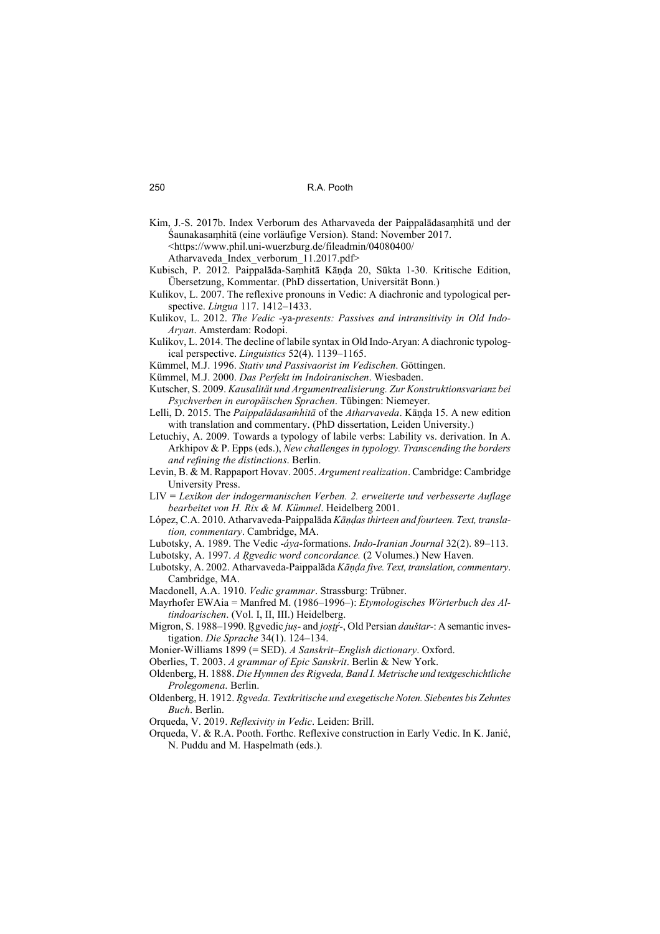- Kim, J.-S. 2017b. Index Verborum des Atharvaveda der Paippalādasaṃhitā und der Śaunakasaṃhitā (eine vorläufige Version). Stand: November 2017. <https://www.phil.uni-wuerzburg.de/fileadmin/04080400/ Atharvaveda\_Index\_verborum\_11.2017.pdf>
- Kubisch, P. 2012. Paippalāda-Saṃhitā Kāṇḍa 20, Sūkta 1-30. Kritische Edition, Übersetzung, Kommentar. (PhD dissertation, Universität Bonn.)
- Kulikov, L. 2007. The reflexive pronouns in Vedic: A diachronic and typological perspective. *Lingua* 117. 1412–1433.
- Kulikov, L. 2012. *The Vedic* -ya-*presents: Passives and intransitivity in Old Indo-Aryan*. Amsterdam: Rodopi.
- Kulikov, L. 2014. The decline of labile syntax in Old Indo-Aryan: A diachronic typological perspective. *Linguistics* 52(4). 1139–1165.
- Kümmel, M.J. 1996. *Stativ und Passivaorist im Vedischen*. Göttingen.
- Kümmel, M.J. 2000. *Das Perfekt im Indoiranischen*. Wiesbaden.
- Kutscher, S. 2009. *Kausalität und Argumentrealisierung. Zur Konstruktionsvarianz bei Psychverben in europäischen Sprachen*. Tübingen: Niemeyer.
- Lelli, D. 2015. The *Paippalādasaṁhitā* of the *Atharvaveda*. Kāṇḍa 15. A new edition with translation and commentary. (PhD dissertation, Leiden University.)
- Letuchiy, A. 2009. Towards a typology of labile verbs: Lability vs. derivation. In A. Arkhipov & P. Epps (eds.), *New challenges in typology. Transcending the borders and refining the distinctions*. Berlin.
- Levin, B. & M. Rappaport Hovav. 2005. *Argument realization*. Cambridge: Cambridge University Press.
- LIV = *Lexikon der indogermanischen Verben. 2. erweiterte und verbesserte Auflage bearbeitet von H. Rix & M. Kümmel*. Heidelberg 2001.
- López, C.A. 2010. Atharvaveda-Paippalāda *Kāṇḍas thirteen and fourteen. Text, translation, commentary*. Cambridge, MA.
- Lubotsky, A. 1989. The Vedic -*áya*-formations. *Indo-Iranian Journal* 32(2). 89–113.
- Lubotsky, A. 1997. *A Ṛgvedic word concordance.* (2 Volumes.) New Haven.
- Lubotsky, A. 2002. Atharvaveda-Paippalāda *Kāṇḍa five. Text, translation, commentary*. Cambridge, MA.
- Macdonell, A.A. 1910. *Vedic grammar*. Strassburg: Trübner.
- Mayrhofer EWAia = Manfred M. (1986–1996–): *Etymologisches Wörterbuch des Altindoarischen*. (Vol. I, II, III.) Heidelberg.
- Migron, S. 1988–1990. R̥ gvedic *juṣ-* and *joṣṭŕ ̥ -*, Old Persian *dauštar-*: A semantic investigation. *Die Sprache* 34(1). 124–134.
- Monier-Williams 1899 (= SED). *A Sanskrit–English dictionary*. Oxford.
- Oberlies, T. 2003. *A grammar of Epic Sanskrit*. Berlin & New York.
- Oldenberg, H. 1888. *Die Hymnen des Rigveda, Band I. Metrische und textgeschichtliche Prolegomena*. Berlin.
- Oldenberg, H. 1912. *Ṛgveda. Textkritische und exegetische Noten. Siebentes bis Zehntes Buch*. Berlin.
- Orqueda, V. 2019. *Reflexivity in Vedic*. Leiden: Brill.
- Orqueda, V. & R.A. Pooth. Forthc. Reflexive construction in Early Vedic. In K. Janić, N. Puddu and M. Haspelmath (eds.).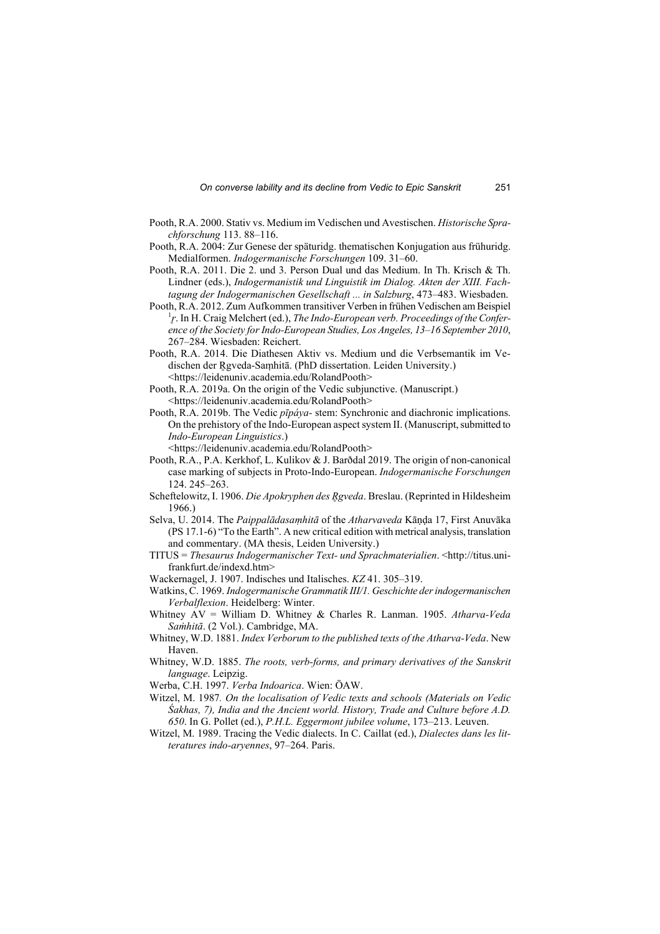- Pooth, R.A. 2000. Stativ vs. Medium im Vedischen und Avestischen. *Historische Sprachforschung* 113. 88–116.
- Pooth, R.A. 2004: Zur Genese der späturidg. thematischen Konjugation aus frühuridg. Medialformen. *Indogermanische Forschungen* 109. 31–60.
- Pooth, R.A. 2011. Die 2. und 3. Person Dual und das Medium. In Th. Krisch & Th. Lindner (eds.), *Indogermanistik und Linguistik im Dialog. Akten der XIII. Fachtagung der Indogermanischen Gesellschaft ... in Salzburg*, 473–483. Wiesbaden.
- Pooth, R.A. 2012. Zum Aufkommen transitiver Verben in frühen Vedischen am Beispiel <sup>1</sup><sub>*f*</sub>. In H. Craig Melchert (ed.), *The Indo-European verb. Proceedings of the Conference of the Society for Indo-European Studies, Los Angeles, 13–16 September 2010*, 267–284. Wiesbaden: Reichert.
- Pooth, R.A. 2014. Die Diathesen Aktiv vs. Medium und die Verbsemantik im Vedischen der Rgyeda-Samhitā. (PhD dissertation. Leiden University.) <https://leidenuniv.academia.edu/RolandPooth>
- Pooth, R.A. 2019a. On the origin of the Vedic subjunctive. (Manuscript.) <https://leidenuniv.academia.edu/RolandPooth>
- Pooth, R.A. 2019b. The Vedic *pīpáya-* stem: Synchronic and diachronic implications. On the prehistory of the Indo-European aspect system II. (Manuscript, submitted to *Indo-European Linguistics*.)

<https://leidenuniv.academia.edu/RolandPooth>

- Pooth, R.A., P.A. Kerkhof, L. Kulikov & J. Barðdal 2019. The origin of non-canonical case marking of subjects in Proto-Indo-European. *Indogermanische Forschungen* 124. 245–263.
- Scheftelowitz, I. 1906. *Die Apokryphen des R̥ gveda*. Breslau. (Reprinted in Hildesheim 1966.)
- Selva, U. 2014. The *Paippalādasaṃhitā* of the *Atharvaveda* Kāṇḍa 17, First Anuvāka (PS 17.1-6) "To the Earth". A new critical edition with metrical analysis, translation and commentary. (MA thesis, Leiden University.)
- TITUS = *Thesaurus Indogermanischer Text- und Sprachmaterialien*. <http://titus.unifrankfurt.de/indexd.htm>
- Wackernagel, J. 1907. Indisches und Italisches. *KZ* 41. 305–319.
- Watkins, C. 1969. *Indogermanische Grammatik III/1. Geschichte der indogermanischen Verbalflexion*. Heidelberg: Winter.
- Whitney AV = William D. Whitney & Charles R. Lanman. 1905. *Atharva-Veda Saṁhitā*. (2 Vol.). Cambridge, MA.
- Whitney, W.D. 1881. *Index Verborum to the published texts of the Atharva-Veda*. New Haven.
- Whitney, W.D. 1885. *The roots, verb-forms, and primary derivatives of the Sanskrit language*. Leipzig.
- Werba, C.H. 1997. *Verba Indoarica*. Wien: ÖAW.
- Witzel, M. 1987*. On the localisation of Vedic texts and schools (Materials on Vedic Śakhas, 7), India and the Ancient world. History, Trade and Culture before A.D. 650*. In G. Pollet (ed.), *P.H.L. Eggermont jubilee volume*, 173–213. Leuven.
- Witzel, M. 1989. Tracing the Vedic dialects. In C. Caillat (ed.), *Dialectes dans les litteratures indo-aryennes*, 97–264. Paris.